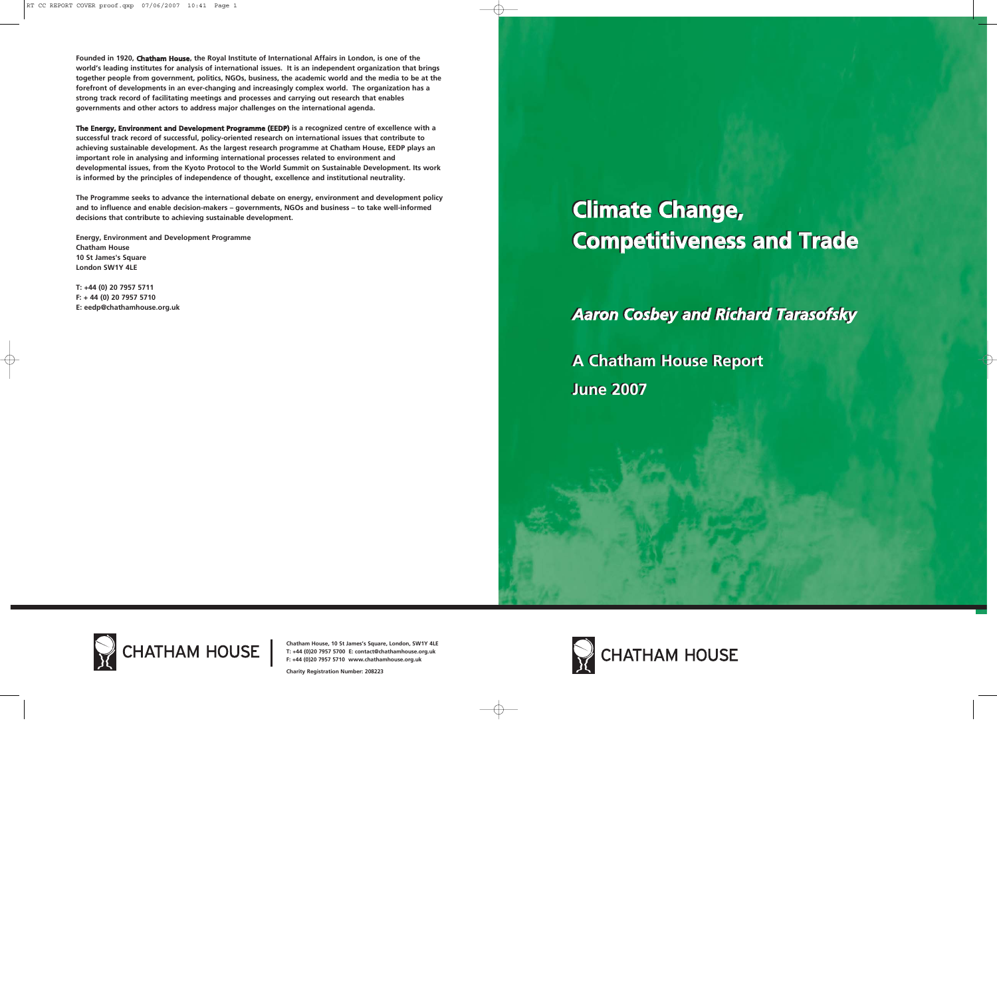# **Climate Change, Competitiveness and Trade**

**Aaron Cosbey and Richard Tarasofsky** 

**A Chatham House Report A Chatham House Report June 2007 June 2007**

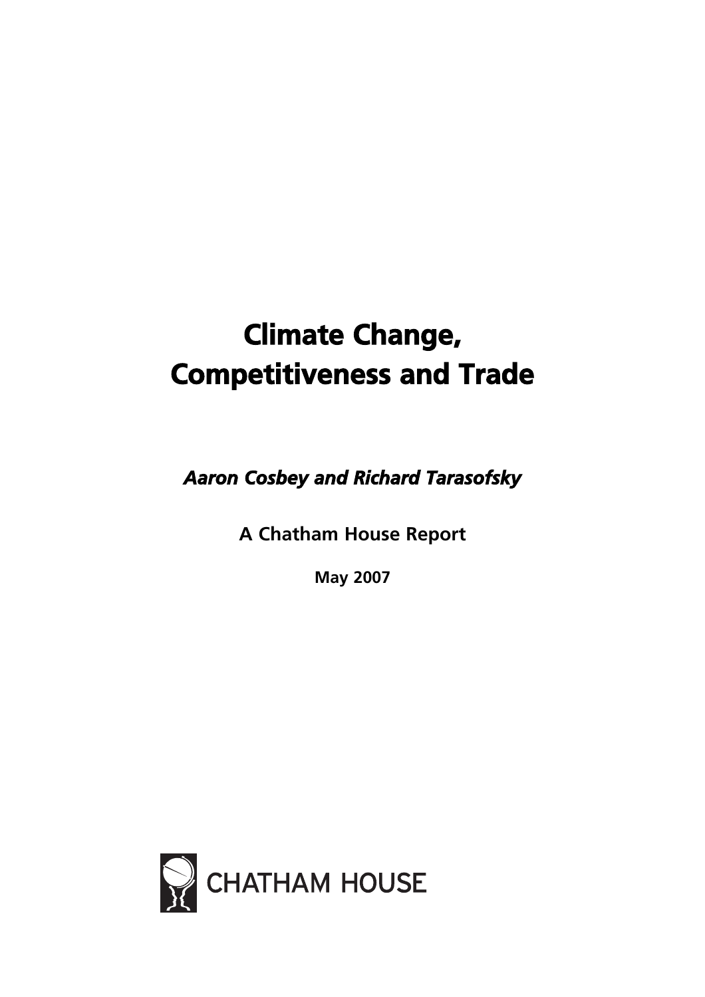## **Climate Change, Competitiveness and Trade**

*Aaron Cosbey and Richard Tarasofsky*

**A Chatham House Report**

**May 2007**

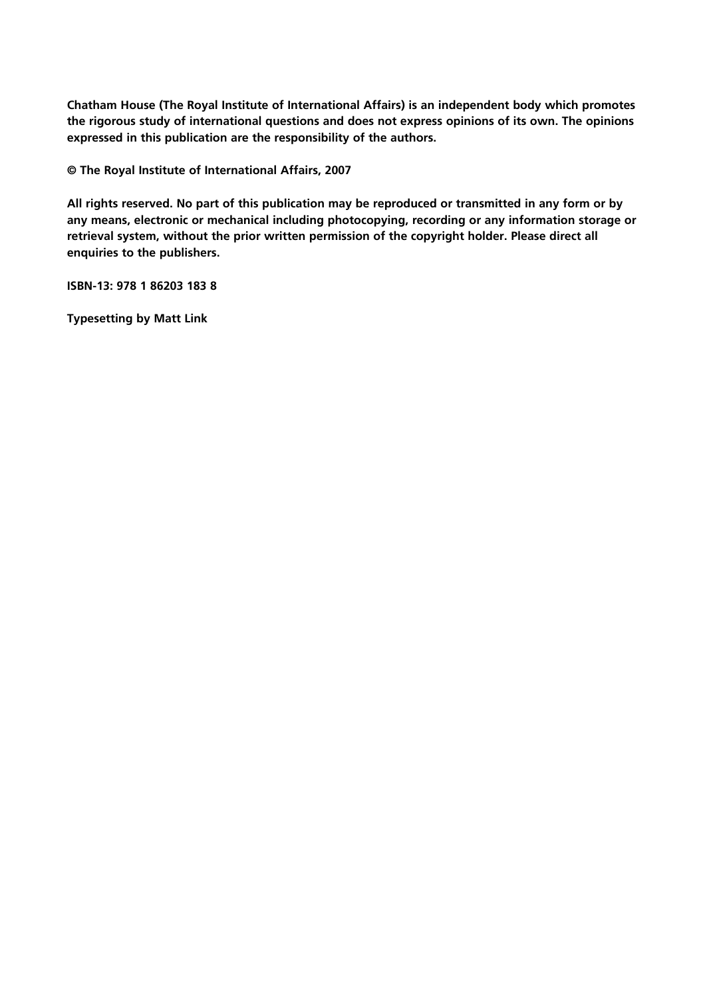**Chatham House (The Royal Institute of International Affairs) is an independent body which promotes the rigorous study of international questions and does not express opinions of its own. The opinions expressed in this publication are the responsibility of the authors.**

**© The Royal Institute of International Affairs, 2007**

**All rights reserved. No part of this publication may be reproduced or transmitted in any form or by any means, electronic or mechanical including photocopying, recording or any information storage or retrieval system, without the prior written permission of the copyright holder. Please direct all enquiries to the publishers.**

**ISBN-13: 978 1 86203 183 8**

**Typesetting by Matt Link**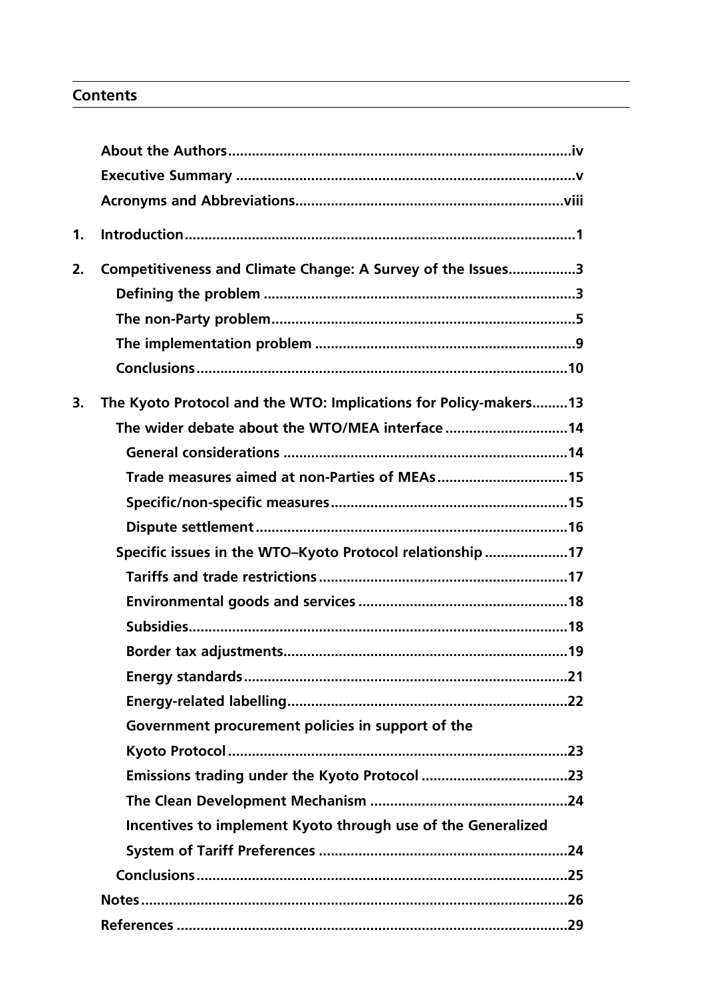#### **Contents**

| 1. |                                                                  |  |
|----|------------------------------------------------------------------|--|
| 2. | Competitiveness and Climate Change: A Survey of the Issues3      |  |
|    |                                                                  |  |
|    |                                                                  |  |
|    |                                                                  |  |
|    |                                                                  |  |
| 3. | The Kyoto Protocol and the WTO: Implications for Policy-makers13 |  |
|    | The wider debate about the WTO/MEA interface 14                  |  |
|    |                                                                  |  |
|    | Trade measures aimed at non-Parties of MEAs15                    |  |
|    |                                                                  |  |
|    |                                                                  |  |
|    | Specific issues in the WTO-Kyoto Protocol relationship17         |  |
|    |                                                                  |  |
|    |                                                                  |  |
|    |                                                                  |  |
|    |                                                                  |  |
|    |                                                                  |  |
|    |                                                                  |  |
|    | Government procurement policies in support of the                |  |
|    |                                                                  |  |
|    |                                                                  |  |
|    |                                                                  |  |
|    | Incentives to implement Kyoto through use of the Generalized     |  |
|    |                                                                  |  |
|    |                                                                  |  |
|    |                                                                  |  |
|    |                                                                  |  |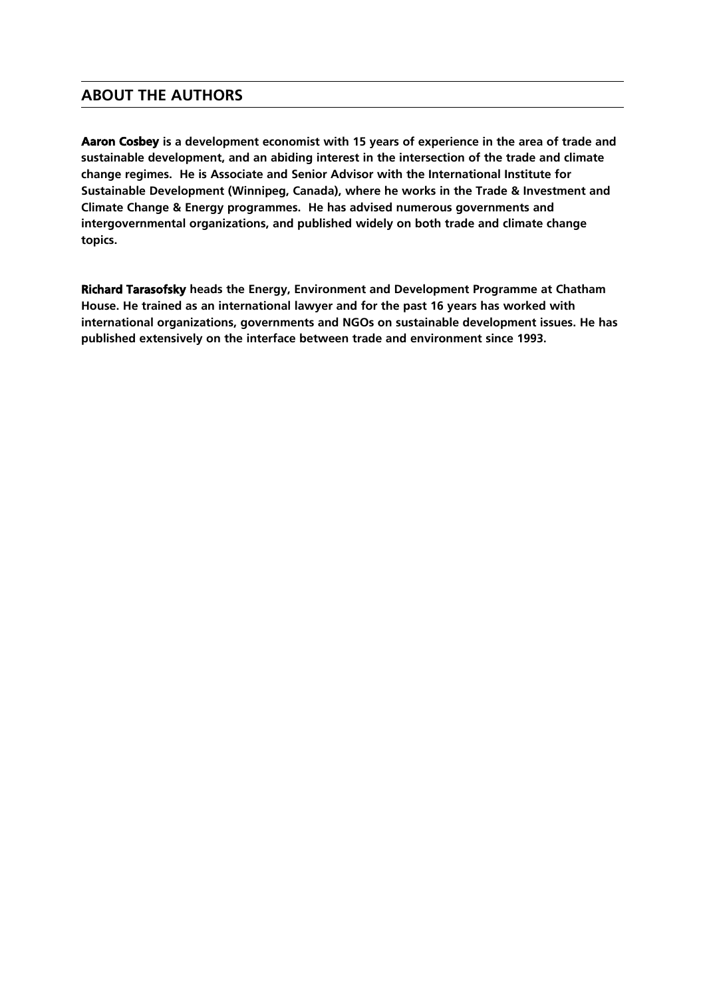#### **ABOUT THE AUTHORS**

**Aaron Cosbey is a development economist with 15 years of experience in the area of trade and sustainable development, and an abiding interest in the intersection of the trade and climate change regimes. He is Associate and Senior Advisor with the International Institute for Sustainable Development (Winnipeg, Canada), where he works in the Trade & Investment and Climate Change & Energy programmes. He has advised numerous governments and intergovernmental organizations, and published widely on both trade and climate change topics.**

**Richard Tarasofsky heads the Energy, Environment and Development Programme at Chatham House. He trained as an international lawyer and for the past 16 years has worked with international organizations, governments and NGOs on sustainable development issues. He has published extensively on the interface between trade and environment since 1993.**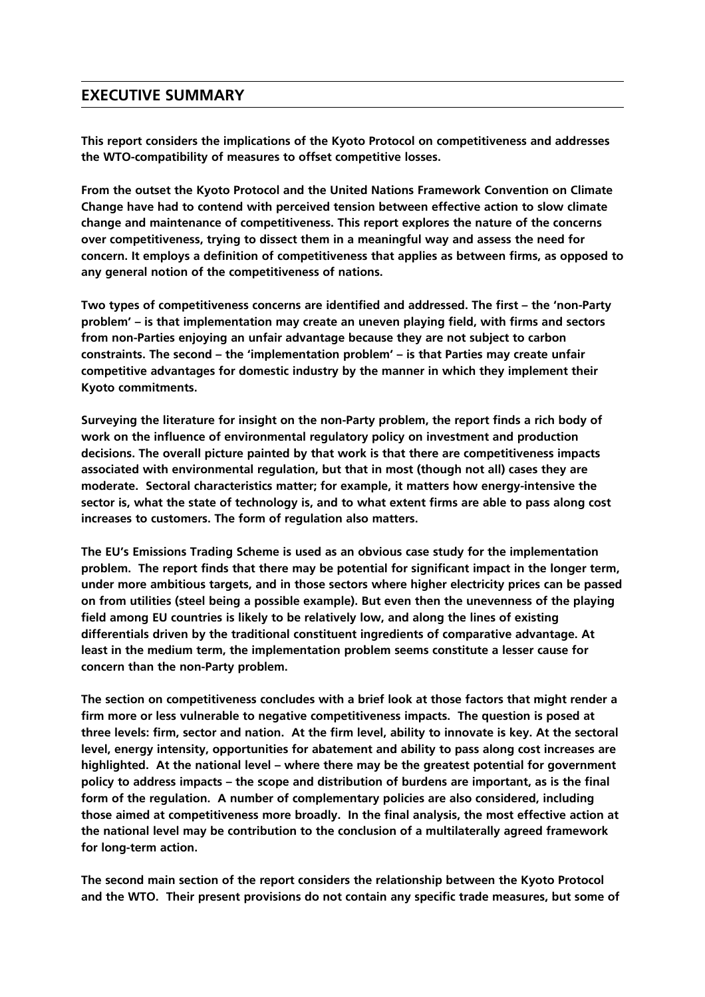#### **EXECUTIVE SUMMARY**

**This report considers the implications of the Kyoto Protocol on competitiveness and addresses the WTO-compatibility of measures to offset competitive losses.** 

**From the outset the Kyoto Protocol and the United Nations Framework Convention on Climate Change have had to contend with perceived tension between effective action to slow climate change and maintenance of competitiveness. This report explores the nature of the concerns over competitiveness, trying to dissect them in a meaningful way and assess the need for concern. It employs a definition of competitiveness that applies as between firms, as opposed to any general notion of the competitiveness of nations.**

**Two types of competitiveness concerns are identified and addressed. The first – the 'non-Party problem' – is that implementation may create an uneven playing field, with firms and sectors from non-Parties enjoying an unfair advantage because they are not subject to carbon constraints. The second – the 'implementation problem' – is that Parties may create unfair competitive advantages for domestic industry by the manner in which they implement their Kyoto commitments.**

**Surveying the literature for insight on the non-Party problem, the report finds a rich body of work on the influence of environmental regulatory policy on investment and production decisions. The overall picture painted by that work is that there are competitiveness impacts associated with environmental regulation, but that in most (though not all) cases they are moderate. Sectoral characteristics matter; for example, it matters how energy-intensive the sector is, what the state of technology is, and to what extent firms are able to pass along cost increases to customers. The form of regulation also matters.**

**The EU's Emissions Trading Scheme is used as an obvious case study for the implementation problem. The report finds that there may be potential for significant impact in the longer term, under more ambitious targets, and in those sectors where higher electricity prices can be passed on from utilities (steel being a possible example). But even then the unevenness of the playing field among EU countries is likely to be relatively low, and along the lines of existing differentials driven by the traditional constituent ingredients of comparative advantage. At least in the medium term, the implementation problem seems constitute a lesser cause for concern than the non-Party problem.**

**The section on competitiveness concludes with a brief look at those factors that might render a firm more or less vulnerable to negative competitiveness impacts. The question is posed at three levels: firm, sector and nation. At the firm level, ability to innovate is key. At the sectoral level, energy intensity, opportunities for abatement and ability to pass along cost increases are highlighted. At the national level – where there may be the greatest potential for government policy to address impacts – the scope and distribution of burdens are important, as is the final form of the regulation. A number of complementary policies are also considered, including those aimed at competitiveness more broadly. In the final analysis, the most effective action at the national level may be contribution to the conclusion of a multilaterally agreed framework for long-term action.**

**The second main section of the report considers the relationship between the Kyoto Protocol and the WTO. Their present provisions do not contain any specific trade measures, but some of**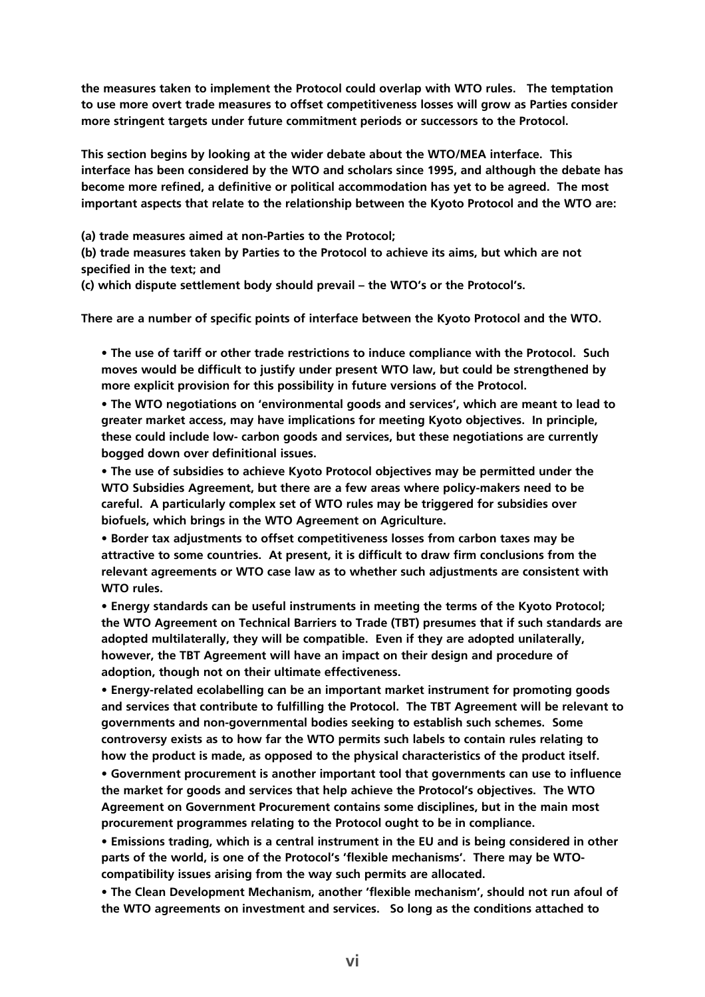**the measures taken to implement the Protocol could overlap with WTO rules. The temptation to use more overt trade measures to offset competitiveness losses will grow as Parties consider more stringent targets under future commitment periods or successors to the Protocol.** 

**This section begins by looking at the wider debate about the WTO/MEA interface. This interface has been considered by the WTO and scholars since 1995, and although the debate has become more refined, a definitive or political accommodation has yet to be agreed. The most important aspects that relate to the relationship between the Kyoto Protocol and the WTO are:** 

**(a) trade measures aimed at non-Parties to the Protocol;** 

**(b) trade measures taken by Parties to the Protocol to achieve its aims, but which are not specified in the text; and** 

**(c) which dispute settlement body should prevail – the WTO's or the Protocol's.** 

**There are a number of specific points of interface between the Kyoto Protocol and the WTO.** 

**• The use of tariff or other trade restrictions to induce compliance with the Protocol. Such moves would be difficult to justify under present WTO law, but could be strengthened by more explicit provision for this possibility in future versions of the Protocol.** 

**• The WTO negotiations on 'environmental goods and services', which are meant to lead to greater market access, may have implications for meeting Kyoto objectives. In principle, these could include low- carbon goods and services, but these negotiations are currently bogged down over definitional issues.** 

**• The use of subsidies to achieve Kyoto Protocol objectives may be permitted under the WTO Subsidies Agreement, but there are a few areas where policy-makers need to be careful. A particularly complex set of WTO rules may be triggered for subsidies over biofuels, which brings in the WTO Agreement on Agriculture.** 

**• Border tax adjustments to offset competitiveness losses from carbon taxes may be attractive to some countries. At present, it is difficult to draw firm conclusions from the relevant agreements or WTO case law as to whether such adjustments are consistent with WTO rules.** 

**• Energy standards can be useful instruments in meeting the terms of the Kyoto Protocol; the WTO Agreement on Technical Barriers to Trade (TBT) presumes that if such standards are adopted multilaterally, they will be compatible. Even if they are adopted unilaterally, however, the TBT Agreement will have an impact on their design and procedure of adoption, though not on their ultimate effectiveness.** 

**• Energy-related ecolabelling can be an important market instrument for promoting goods and services that contribute to fulfilling the Protocol. The TBT Agreement will be relevant to governments and non-governmental bodies seeking to establish such schemes. Some controversy exists as to how far the WTO permits such labels to contain rules relating to how the product is made, as opposed to the physical characteristics of the product itself.** 

**• Government procurement is another important tool that governments can use to influence the market for goods and services that help achieve the Protocol's objectives. The WTO Agreement on Government Procurement contains some disciplines, but in the main most procurement programmes relating to the Protocol ought to be in compliance.** 

**• Emissions trading, which is a central instrument in the EU and is being considered in other parts of the world, is one of the Protocol's 'flexible mechanisms'. There may be WTOcompatibility issues arising from the way such permits are allocated.** 

**• The Clean Development Mechanism, another 'flexible mechanism', should not run afoul of the WTO agreements on investment and services. So long as the conditions attached to**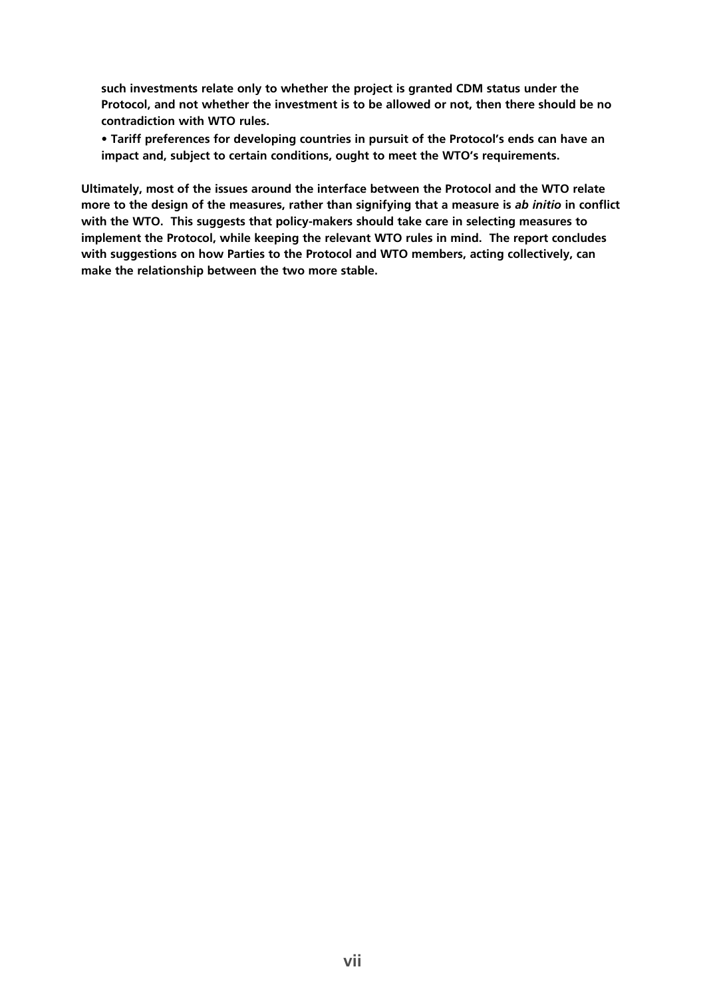**such investments relate only to whether the project is granted CDM status under the Protocol, and not whether the investment is to be allowed or not, then there should be no contradiction with WTO rules.** 

**• Tariff preferences for developing countries in pursuit of the Protocol's ends can have an impact and, subject to certain conditions, ought to meet the WTO's requirements.** 

**Ultimately, most of the issues around the interface between the Protocol and the WTO relate more to the design of the measures, rather than signifying that a measure is** *ab initio* **in conflict with the WTO. This suggests that policy-makers should take care in selecting measures to implement the Protocol, while keeping the relevant WTO rules in mind. The report concludes with suggestions on how Parties to the Protocol and WTO members, acting collectively, can make the relationship between the two more stable.**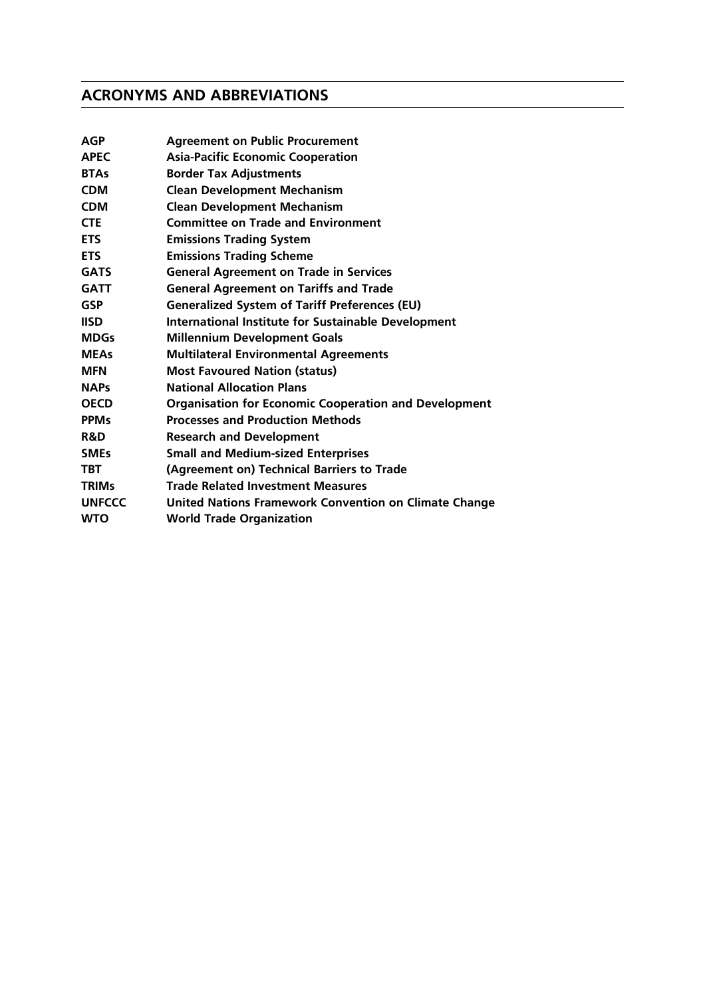## **ACRONYMS AND ABBREVIATIONS**

| AGP           | <b>Agreement on Public Procurement</b>                       |
|---------------|--------------------------------------------------------------|
| <b>APEC</b>   | <b>Asia-Pacific Economic Cooperation</b>                     |
| <b>BTAs</b>   | <b>Border Tax Adjustments</b>                                |
| <b>CDM</b>    | <b>Clean Development Mechanism</b>                           |
| <b>CDM</b>    | <b>Clean Development Mechanism</b>                           |
| <b>CTE</b>    | <b>Committee on Trade and Environment</b>                    |
| <b>ETS</b>    | <b>Emissions Trading System</b>                              |
| <b>ETS</b>    | <b>Emissions Trading Scheme</b>                              |
| <b>GATS</b>   | <b>General Agreement on Trade in Services</b>                |
| <b>GATT</b>   | <b>General Agreement on Tariffs and Trade</b>                |
| <b>GSP</b>    | <b>Generalized System of Tariff Preferences (EU)</b>         |
| <b>IISD</b>   | <b>International Institute for Sustainable Development</b>   |
| <b>MDGs</b>   | <b>Millennium Development Goals</b>                          |
| <b>MEAs</b>   | <b>Multilateral Environmental Agreements</b>                 |
| <b>MFN</b>    | <b>Most Favoured Nation (status)</b>                         |
| <b>NAPs</b>   | <b>National Allocation Plans</b>                             |
| <b>OECD</b>   | <b>Organisation for Economic Cooperation and Development</b> |
| <b>PPMs</b>   | <b>Processes and Production Methods</b>                      |
| R&D           | <b>Research and Development</b>                              |
| <b>SMEs</b>   | <b>Small and Medium-sized Enterprises</b>                    |
| <b>TBT</b>    | (Agreement on) Technical Barriers to Trade                   |
| <b>TRIMs</b>  | <b>Trade Related Investment Measures</b>                     |
| <b>UNFCCC</b> | <b>United Nations Framework Convention on Climate Change</b> |
| <b>WTO</b>    | <b>World Trade Organization</b>                              |
|               |                                                              |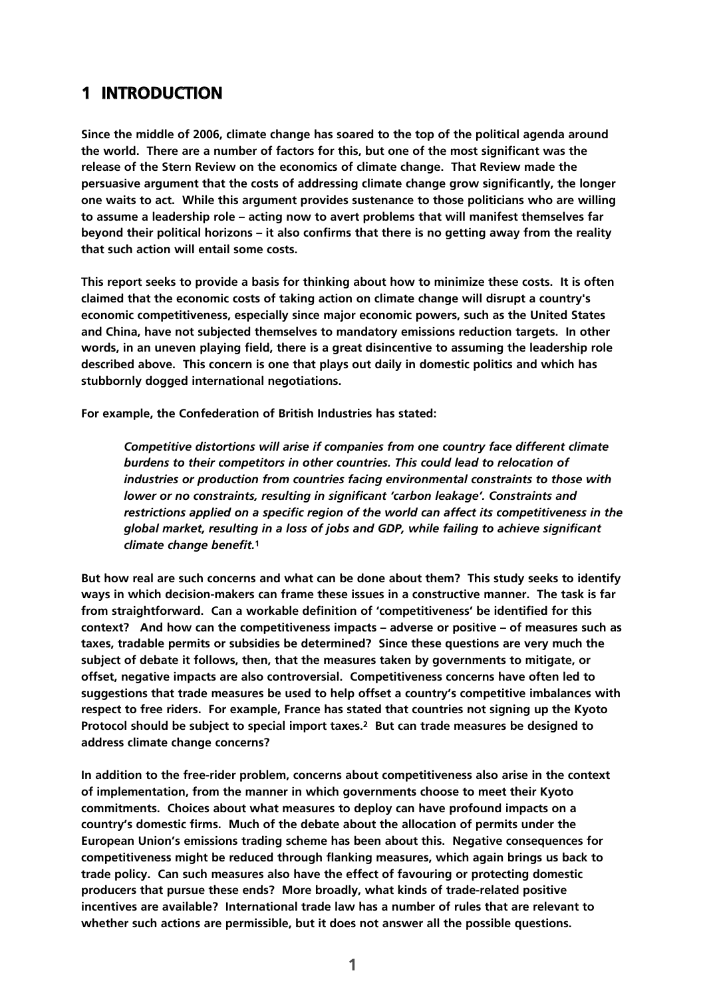## **1 INTRODUCTION**

**Since the middle of 2006, climate change has soared to the top of the political agenda around the world. There are a number of factors for this, but one of the most significant was the release of the Stern Review on the economics of climate change. That Review made the persuasive argument that the costs of addressing climate change grow significantly, the longer one waits to act. While this argument provides sustenance to those politicians who are willing to assume a leadership role – acting now to avert problems that will manifest themselves far beyond their political horizons – it also confirms that there is no getting away from the reality that such action will entail some costs.** 

**This report seeks to provide a basis for thinking about how to minimize these costs. It is often claimed that the economic costs of taking action on climate change will disrupt a country's economic competitiveness, especially since major economic powers, such as the United States and China, have not subjected themselves to mandatory emissions reduction targets. In other words, in an uneven playing field, there is a great disincentive to assuming the leadership role described above. This concern is one that plays out daily in domestic politics and which has stubbornly dogged international negotiations.** 

**For example, the Confederation of British Industries has stated:**

*Competitive distortions will arise if companies from one country face different climate burdens to their competitors in other countries. This could lead to relocation of industries or production from countries facing environmental constraints to those with lower or no constraints, resulting in significant 'carbon leakage'. Constraints and restrictions applied on a specific region of the world can affect its competitiveness in the global market, resulting in a loss of jobs and GDP, while failing to achieve significant climate change benefit.***<sup>1</sup>**

**But how real are such concerns and what can be done about them? This study seeks to identify ways in which decision-makers can frame these issues in a constructive manner. The task is far from straightforward. Can a workable definition of 'competitiveness' be identified for this context? And how can the competitiveness impacts – adverse or positive – of measures such as taxes, tradable permits or subsidies be determined? Since these questions are very much the subject of debate it follows, then, that the measures taken by governments to mitigate, or offset, negative impacts are also controversial. Competitiveness concerns have often led to suggestions that trade measures be used to help offset a country's competitive imbalances with respect to free riders. For example, France has stated that countries not signing up the Kyoto Protocol should be subject to special import taxes.2 But can trade measures be designed to address climate change concerns?** 

**In addition to the free-rider problem, concerns about competitiveness also arise in the context of implementation, from the manner in which governments choose to meet their Kyoto commitments. Choices about what measures to deploy can have profound impacts on a country's domestic firms. Much of the debate about the allocation of permits under the European Union's emissions trading scheme has been about this. Negative consequences for competitiveness might be reduced through flanking measures, which again brings us back to trade policy. Can such measures also have the effect of favouring or protecting domestic producers that pursue these ends? More broadly, what kinds of trade-related positive incentives are available? International trade law has a number of rules that are relevant to whether such actions are permissible, but it does not answer all the possible questions.**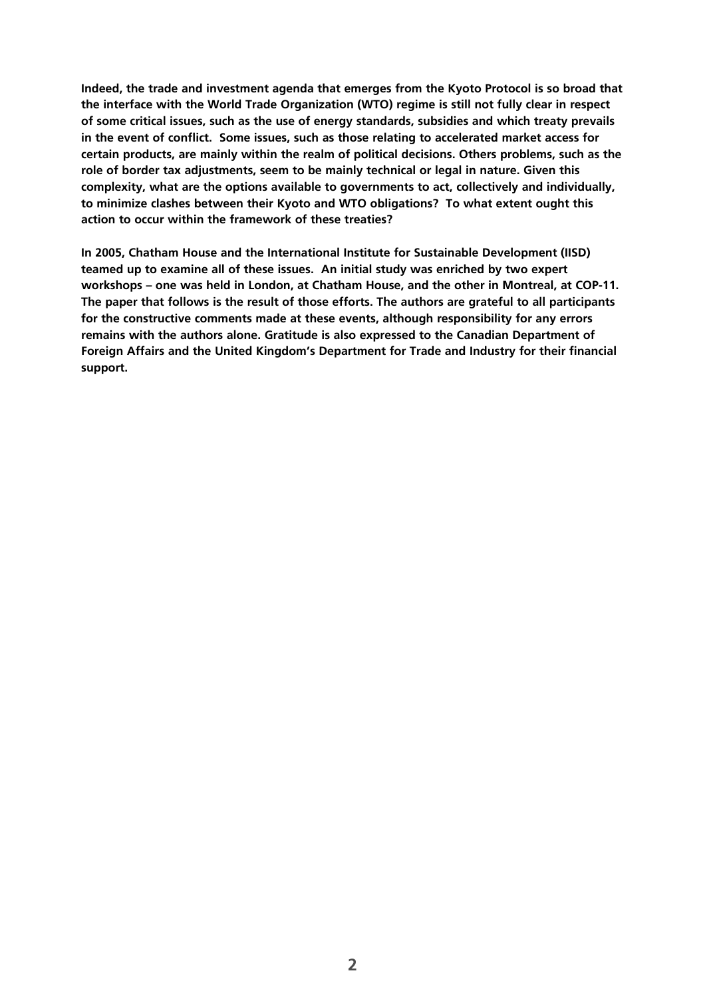**Indeed, the trade and investment agenda that emerges from the Kyoto Protocol is so broad that the interface with the World Trade Organization (WTO) regime is still not fully clear in respect of some critical issues, such as the use of energy standards, subsidies and which treaty prevails in the event of conflict. Some issues, such as those relating to accelerated market access for certain products, are mainly within the realm of political decisions. Others problems, such as the role of border tax adjustments, seem to be mainly technical or legal in nature. Given this complexity, what are the options available to governments to act, collectively and individually, to minimize clashes between their Kyoto and WTO obligations? To what extent ought this action to occur within the framework of these treaties?** 

**In 2005, Chatham House and the International Institute for Sustainable Development (IISD) teamed up to examine all of these issues. An initial study was enriched by two expert workshops – one was held in London, at Chatham House, and the other in Montreal, at COP-11. The paper that follows is the result of those efforts. The authors are grateful to all participants for the constructive comments made at these events, although responsibility for any errors remains with the authors alone. Gratitude is also expressed to the Canadian Department of Foreign Affairs and the United Kingdom's Department for Trade and Industry for their financial support.**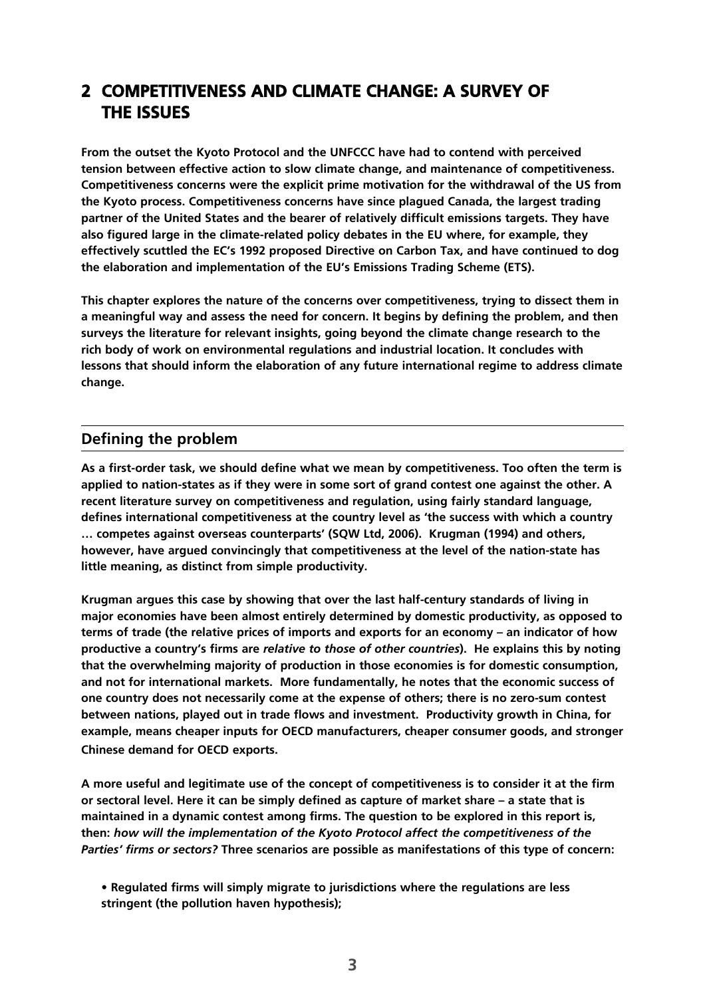## **2 COMPETITIVENESS AND CLIMATE CHANGE: A SURVEY OF THE ISSUES**

**From the outset the Kyoto Protocol and the UNFCCC have had to contend with perceived tension between effective action to slow climate change, and maintenance of competitiveness. Competitiveness concerns were the explicit prime motivation for the withdrawal of the US from the Kyoto process. Competitiveness concerns have since plagued Canada, the largest trading partner of the United States and the bearer of relatively difficult emissions targets. They have also figured large in the climate-related policy debates in the EU where, for example, they effectively scuttled the EC's 1992 proposed Directive on Carbon Tax, and have continued to dog the elaboration and implementation of the EU's Emissions Trading Scheme (ETS).**

**This chapter explores the nature of the concerns over competitiveness, trying to dissect them in a meaningful way and assess the need for concern. It begins by defining the problem, and then surveys the literature for relevant insights, going beyond the climate change research to the rich body of work on environmental regulations and industrial location. It concludes with lessons that should inform the elaboration of any future international regime to address climate change.**

#### **Defining the problem**

**As a first-order task, we should define what we mean by competitiveness. Too often the term is applied to nation-states as if they were in some sort of grand contest one against the other. A recent literature survey on competitiveness and regulation, using fairly standard language, defines international competitiveness at the country level as 'the success with which a country … competes against overseas counterparts' (SQW Ltd, 2006). Krugman (1994) and others, however, have argued convincingly that competitiveness at the level of the nation-state has little meaning, as distinct from simple productivity.**

**Krugman argues this case by showing that over the last half-century standards of living in major economies have been almost entirely determined by domestic productivity, as opposed to terms of trade (the relative prices of imports and exports for an economy – an indicator of how productive a country's firms are** *relative to those of other countries***). He explains this by noting that the overwhelming majority of production in those economies is for domestic consumption, and not for international markets. More fundamentally, he notes that the economic success of one country does not necessarily come at the expense of others; there is no zero-sum contest between nations, played out in trade flows and investment. Productivity growth in China, for example, means cheaper inputs for OECD manufacturers, cheaper consumer goods, and stronger Chinese demand for OECD exports.**

**A more useful and legitimate use of the concept of competitiveness is to consider it at the firm or sectoral level. Here it can be simply defined as capture of market share – a state that is maintained in a dynamic contest among firms. The question to be explored in this report is, then:** *how will the implementation of the Kyoto Protocol affect the competitiveness of the Parties' firms or sectors?* **Three scenarios are possible as manifestations of this type of concern:**

**• Regulated firms will simply migrate to jurisdictions where the regulations are less stringent (the pollution haven hypothesis);**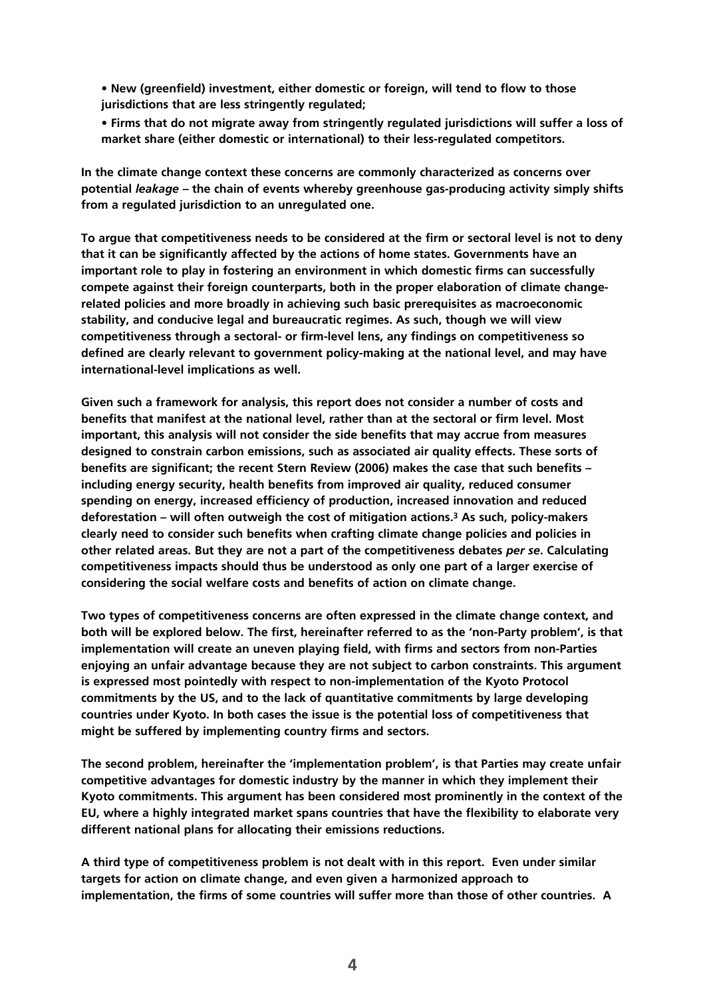**• New (greenfield) investment, either domestic or foreign, will tend to flow to those jurisdictions that are less stringently regulated;**

**• Firms that do not migrate away from stringently regulated jurisdictions will suffer a loss of market share (either domestic or international) to their less-regulated competitors.**

**In the climate change context these concerns are commonly characterized as concerns over potential** *leakage –* **the chain of events whereby greenhouse gas-producing activity simply shifts from a regulated jurisdiction to an unregulated one.**

**To argue that competitiveness needs to be considered at the firm or sectoral level is not to deny that it can be significantly affected by the actions of home states. Governments have an important role to play in fostering an environment in which domestic firms can successfully compete against their foreign counterparts, both in the proper elaboration of climate changerelated policies and more broadly in achieving such basic prerequisites as macroeconomic stability, and conducive legal and bureaucratic regimes. As such, though we will view competitiveness through a sectoral- or firm-level lens, any findings on competitiveness so defined are clearly relevant to government policy-making at the national level, and may have international-level implications as well.**

**Given such a framework for analysis, this report does not consider a number of costs and benefits that manifest at the national level, rather than at the sectoral or firm level. Most important, this analysis will not consider the side benefits that may accrue from measures designed to constrain carbon emissions, such as associated air quality effects. These sorts of benefits are significant; the recent Stern Review (2006) makes the case that such benefits – including energy security, health benefits from improved air quality, reduced consumer spending on energy, increased efficiency of production, increased innovation and reduced deforestation – will often outweigh the cost of mitigation actions.3 As such, policy-makers clearly need to consider such benefits when crafting climate change policies and policies in other related areas. But they are not a part of the competitiveness debates** *per se***. Calculating competitiveness impacts should thus be understood as only one part of a larger exercise of considering the social welfare costs and benefits of action on climate change.**

**Two types of competitiveness concerns are often expressed in the climate change context, and both will be explored below. The first, hereinafter referred to as the 'non-Party problem', is that implementation will create an uneven playing field, with firms and sectors from non-Parties enjoying an unfair advantage because they are not subject to carbon constraints. This argument is expressed most pointedly with respect to non-implementation of the Kyoto Protocol commitments by the US, and to the lack of quantitative commitments by large developing countries under Kyoto. In both cases the issue is the potential loss of competitiveness that might be suffered by implementing country firms and sectors.**

**The second problem, hereinafter the 'implementation problem', is that Parties may create unfair competitive advantages for domestic industry by the manner in which they implement their Kyoto commitments. This argument has been considered most prominently in the context of the EU, where a highly integrated market spans countries that have the flexibility to elaborate very different national plans for allocating their emissions reductions.**

**A third type of competitiveness problem is not dealt with in this report. Even under similar targets for action on climate change, and even given a harmonized approach to implementation, the firms of some countries will suffer more than those of other countries. A**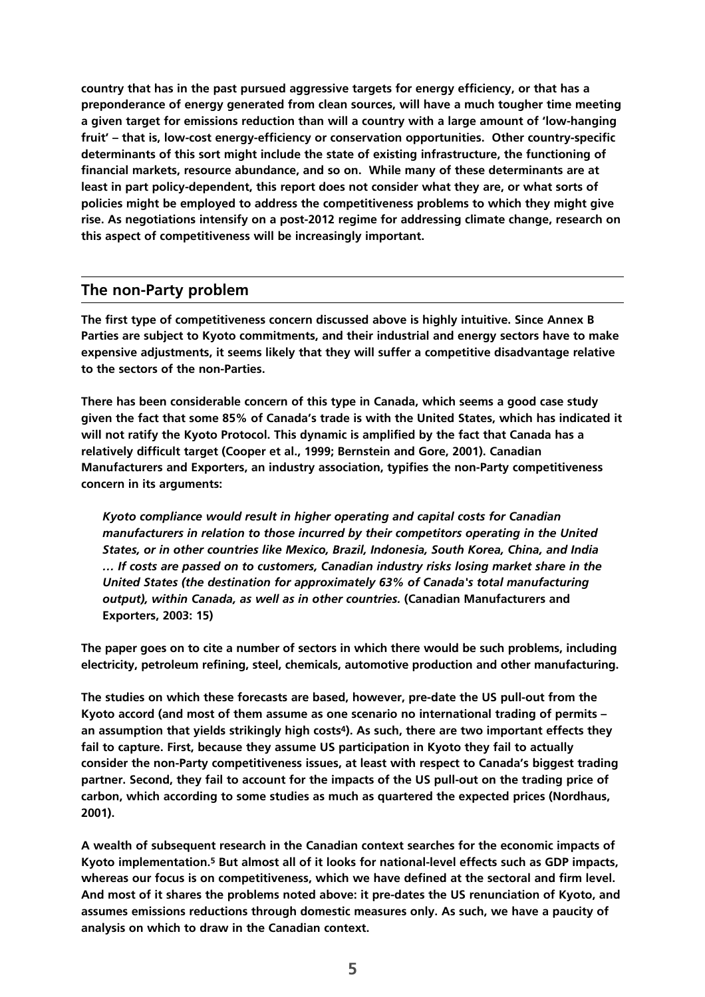**country that has in the past pursued aggressive targets for energy efficiency, or that has a preponderance of energy generated from clean sources, will have a much tougher time meeting a given target for emissions reduction than will a country with a large amount of 'low-hanging fruit' – that is, low-cost energy-efficiency or conservation opportunities. Other country-specific determinants of this sort might include the state of existing infrastructure, the functioning of financial markets, resource abundance, and so on. While many of these determinants are at least in part policy-dependent, this report does not consider what they are, or what sorts of policies might be employed to address the competitiveness problems to which they might give rise. As negotiations intensify on a post-2012 regime for addressing climate change, research on this aspect of competitiveness will be increasingly important.**

#### **The non-Party problem**

**The first type of competitiveness concern discussed above is highly intuitive. Since Annex B Parties are subject to Kyoto commitments, and their industrial and energy sectors have to make expensive adjustments, it seems likely that they will suffer a competitive disadvantage relative to the sectors of the non-Parties.**

**There has been considerable concern of this type in Canada, which seems a good case study given the fact that some 85% of Canada's trade is with the United States, which has indicated it will not ratify the Kyoto Protocol. This dynamic is amplified by the fact that Canada has a relatively difficult target (Cooper et al., 1999; Bernstein and Gore, 2001). Canadian Manufacturers and Exporters, an industry association, typifies the non-Party competitiveness concern in its arguments:**

*Kyoto compliance would result in higher operating and capital costs for Canadian manufacturers in relation to those incurred by their competitors operating in the United States, or in other countries like Mexico, Brazil, Indonesia, South Korea, China, and India … If costs are passed on to customers, Canadian industry risks losing market share in the United States (the destination for approximately 63% of Canada's total manufacturing output), within Canada, as well as in other countries.* **(Canadian Manufacturers and Exporters, 2003: 15)**

**The paper goes on to cite a number of sectors in which there would be such problems, including electricity, petroleum refining, steel, chemicals, automotive production and other manufacturing.**

**The studies on which these forecasts are based, however, pre-date the US pull-out from the Kyoto accord (and most of them assume as one scenario no international trading of permits – an assumption that yields strikingly high costs4). As such, there are two important effects they fail to capture. First, because they assume US participation in Kyoto they fail to actually consider the non-Party competitiveness issues, at least with respect to Canada's biggest trading partner. Second, they fail to account for the impacts of the US pull-out on the trading price of carbon, which according to some studies as much as quartered the expected prices (Nordhaus, 2001).**

**A wealth of subsequent research in the Canadian context searches for the economic impacts of Kyoto implementation.5 But almost all of it looks for national-level effects such as GDP impacts, whereas our focus is on competitiveness, which we have defined at the sectoral and firm level. And most of it shares the problems noted above: it pre-dates the US renunciation of Kyoto, and assumes emissions reductions through domestic measures only. As such, we have a paucity of analysis on which to draw in the Canadian context.**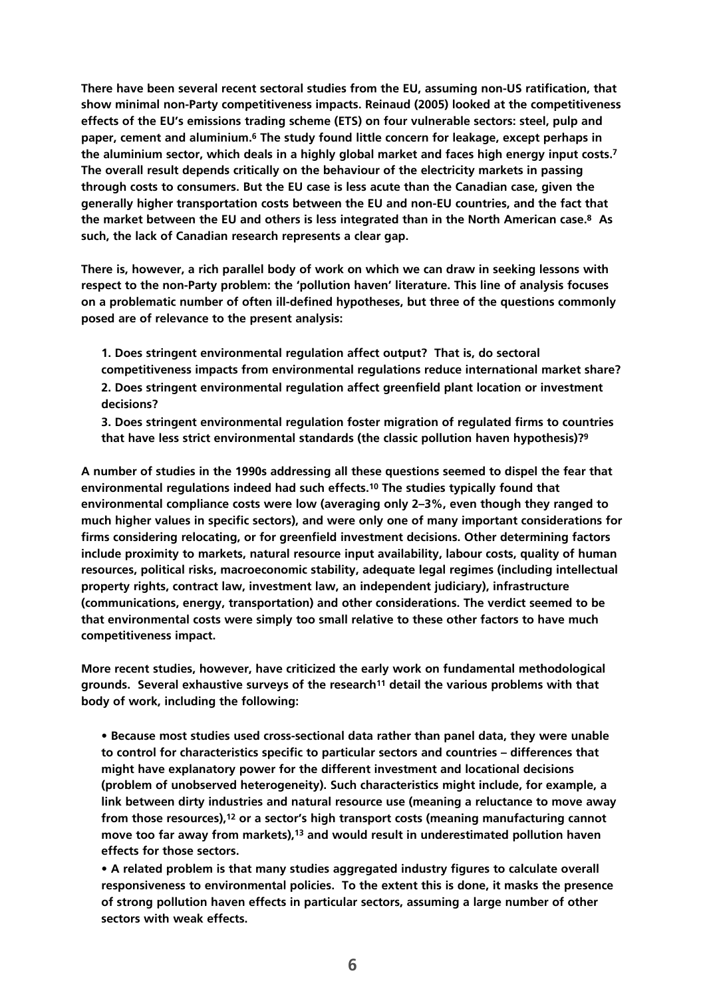**There have been several recent sectoral studies from the EU, assuming non-US ratification, that show minimal non-Party competitiveness impacts. Reinaud (2005) looked at the competitiveness effects of the EU's emissions trading scheme (ETS) on four vulnerable sectors: steel, pulp and paper, cement and aluminium.6 The study found little concern for leakage, except perhaps in the aluminium sector, which deals in a highly global market and faces high energy input costs.7 The overall result depends critically on the behaviour of the electricity markets in passing through costs to consumers. But the EU case is less acute than the Canadian case, given the generally higher transportation costs between the EU and non-EU countries, and the fact that the market between the EU and others is less integrated than in the North American case.8 As such, the lack of Canadian research represents a clear gap.**

**There is, however, a rich parallel body of work on which we can draw in seeking lessons with respect to the non-Party problem: the 'pollution haven' literature. This line of analysis focuses on a problematic number of often ill-defined hypotheses, but three of the questions commonly posed are of relevance to the present analysis:**

**1. Does stringent environmental regulation affect output? That is, do sectoral competitiveness impacts from environmental regulations reduce international market share? 2. Does stringent environmental regulation affect greenfield plant location or investment decisions?**

**3. Does stringent environmental regulation foster migration of regulated firms to countries that have less strict environmental standards (the classic pollution haven hypothesis)?9**

**A number of studies in the 1990s addressing all these questions seemed to dispel the fear that environmental regulations indeed had such effects.10 The studies typically found that environmental compliance costs were low (averaging only 2–3%, even though they ranged to much higher values in specific sectors), and were only one of many important considerations for firms considering relocating, or for greenfield investment decisions. Other determining factors include proximity to markets, natural resource input availability, labour costs, quality of human resources, political risks, macroeconomic stability, adequate legal regimes (including intellectual property rights, contract law, investment law, an independent judiciary), infrastructure (communications, energy, transportation) and other considerations. The verdict seemed to be that environmental costs were simply too small relative to these other factors to have much competitiveness impact.**

**More recent studies, however, have criticized the early work on fundamental methodological grounds. Several exhaustive surveys of the research11 detail the various problems with that body of work, including the following:**

**• Because most studies used cross-sectional data rather than panel data, they were unable to control for characteristics specific to particular sectors and countries – differences that might have explanatory power for the different investment and locational decisions (problem of unobserved heterogeneity). Such characteristics might include, for example, a link between dirty industries and natural resource use (meaning a reluctance to move away from those resources),12 or a sector's high transport costs (meaning manufacturing cannot move too far away from markets),13 and would result in underestimated pollution haven effects for those sectors.**

**• A related problem is that many studies aggregated industry figures to calculate overall responsiveness to environmental policies. To the extent this is done, it masks the presence of strong pollution haven effects in particular sectors, assuming a large number of other sectors with weak effects.**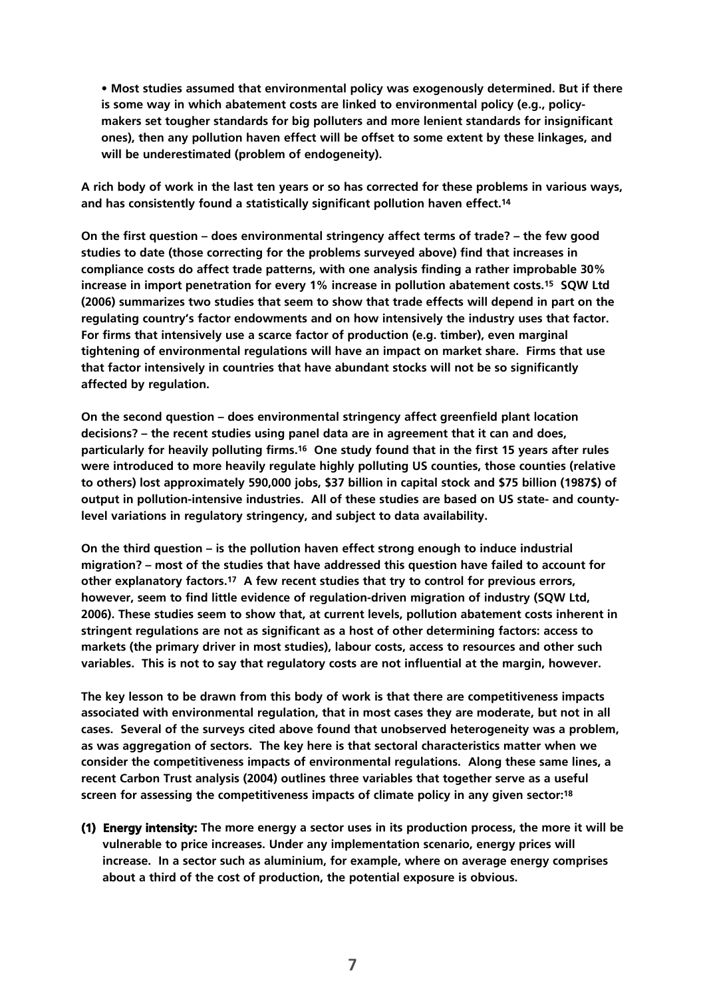**• Most studies assumed that environmental policy was exogenously determined. But if there is some way in which abatement costs are linked to environmental policy (e.g., policymakers set tougher standards for big polluters and more lenient standards for insignificant ones), then any pollution haven effect will be offset to some extent by these linkages, and will be underestimated (problem of endogeneity).**

**A rich body of work in the last ten years or so has corrected for these problems in various ways, and has consistently found a statistically significant pollution haven effect.14**

**On the first question – does environmental stringency affect terms of trade? – the few good studies to date (those correcting for the problems surveyed above) find that increases in compliance costs do affect trade patterns, with one analysis finding a rather improbable 30% increase in import penetration for every 1% increase in pollution abatement costs.15 SQW Ltd (2006) summarizes two studies that seem to show that trade effects will depend in part on the regulating country's factor endowments and on how intensively the industry uses that factor. For firms that intensively use a scarce factor of production (e.g. timber), even marginal tightening of environmental regulations will have an impact on market share. Firms that use that factor intensively in countries that have abundant stocks will not be so significantly affected by regulation.**

**On the second question – does environmental stringency affect greenfield plant location decisions? – the recent studies using panel data are in agreement that it can and does, particularly for heavily polluting firms.16 One study found that in the first 15 years after rules were introduced to more heavily regulate highly polluting US counties, those counties (relative to others) lost approximately 590,000 jobs, \$37 billion in capital stock and \$75 billion (1987\$) of output in pollution-intensive industries. All of these studies are based on US state- and countylevel variations in regulatory stringency, and subject to data availability.**

**On the third question – is the pollution haven effect strong enough to induce industrial migration? – most of the studies that have addressed this question have failed to account for other explanatory factors.17 A few recent studies that try to control for previous errors, however, seem to find little evidence of regulation-driven migration of industry (SQW Ltd, 2006). These studies seem to show that, at current levels, pollution abatement costs inherent in stringent regulations are not as significant as a host of other determining factors: access to markets (the primary driver in most studies), labour costs, access to resources and other such variables. This is not to say that regulatory costs are not influential at the margin, however.**

**The key lesson to be drawn from this body of work is that there are competitiveness impacts associated with environmental regulation, that in most cases they are moderate, but not in all cases. Several of the surveys cited above found that unobserved heterogeneity was a problem, as was aggregation of sectors. The key here is that sectoral characteristics matter when we consider the competitiveness impacts of environmental regulations. Along these same lines, a recent Carbon Trust analysis (2004) outlines three variables that together serve as a useful screen for assessing the competitiveness impacts of climate policy in any given sector:18**

**(1) Energy intensity: The more energy a sector uses in its production process, the more it will be vulnerable to price increases. Under any implementation scenario, energy prices will increase. In a sector such as aluminium, for example, where on average energy comprises about a third of the cost of production, the potential exposure is obvious.**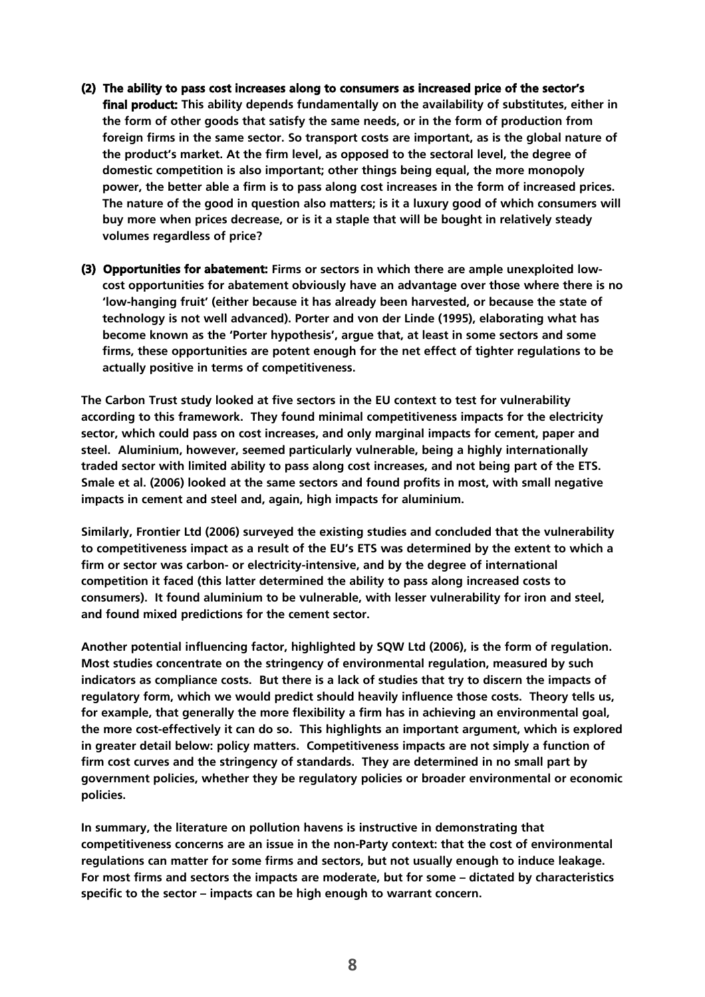- **(2) The ability to pass cost increases along to consumers as increased price of the sector's final product: This ability depends fundamentally on the availability of substitutes, either in the form of other goods that satisfy the same needs, or in the form of production from foreign firms in the same sector. So transport costs are important, as is the global nature of the product's market. At the firm level, as opposed to the sectoral level, the degree of domestic competition is also important; other things being equal, the more monopoly power, the better able a firm is to pass along cost increases in the form of increased prices. The nature of the good in question also matters; is it a luxury good of which consumers will buy more when prices decrease, or is it a staple that will be bought in relatively steady volumes regardless of price?**
- **(3) Opportunities for abatement: Firms or sectors in which there are ample unexploited lowcost opportunities for abatement obviously have an advantage over those where there is no 'low-hanging fruit' (either because it has already been harvested, or because the state of technology is not well advanced). Porter and von der Linde (1995), elaborating what has become known as the 'Porter hypothesis', argue that, at least in some sectors and some firms, these opportunities are potent enough for the net effect of tighter regulations to be actually positive in terms of competitiveness.**

**The Carbon Trust study looked at five sectors in the EU context to test for vulnerability according to this framework. They found minimal competitiveness impacts for the electricity sector, which could pass on cost increases, and only marginal impacts for cement, paper and steel. Aluminium, however, seemed particularly vulnerable, being a highly internationally traded sector with limited ability to pass along cost increases, and not being part of the ETS. Smale et al. (2006) looked at the same sectors and found profits in most, with small negative impacts in cement and steel and, again, high impacts for aluminium.**

**Similarly, Frontier Ltd (2006) surveyed the existing studies and concluded that the vulnerability to competitiveness impact as a result of the EU's ETS was determined by the extent to which a firm or sector was carbon- or electricity-intensive, and by the degree of international competition it faced (this latter determined the ability to pass along increased costs to consumers). It found aluminium to be vulnerable, with lesser vulnerability for iron and steel, and found mixed predictions for the cement sector.**

**Another potential influencing factor, highlighted by SQW Ltd (2006), is the form of regulation. Most studies concentrate on the stringency of environmental regulation, measured by such indicators as compliance costs. But there is a lack of studies that try to discern the impacts of regulatory form, which we would predict should heavily influence those costs. Theory tells us, for example, that generally the more flexibility a firm has in achieving an environmental goal, the more cost-effectively it can do so. This highlights an important argument, which is explored in greater detail below: policy matters. Competitiveness impacts are not simply a function of firm cost curves and the stringency of standards. They are determined in no small part by government policies, whether they be regulatory policies or broader environmental or economic policies.**

**In summary, the literature on pollution havens is instructive in demonstrating that competitiveness concerns are an issue in the non-Party context: that the cost of environmental regulations can matter for some firms and sectors, but not usually enough to induce leakage. For most firms and sectors the impacts are moderate, but for some – dictated by characteristics specific to the sector – impacts can be high enough to warrant concern.**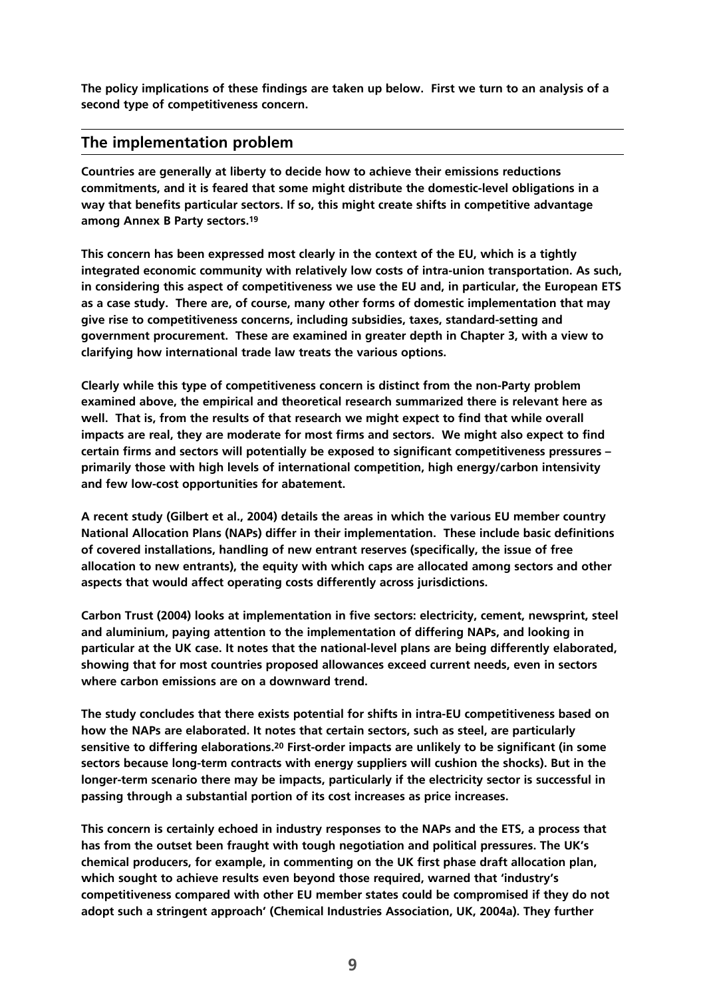**The policy implications of these findings are taken up below. First we turn to an analysis of a second type of competitiveness concern.**

#### **The implementation problem**

**Countries are generally at liberty to decide how to achieve their emissions reductions commitments, and it is feared that some might distribute the domestic-level obligations in a way that benefits particular sectors. If so, this might create shifts in competitive advantage among Annex B Party sectors.19**

**This concern has been expressed most clearly in the context of the EU, which is a tightly integrated economic community with relatively low costs of intra-union transportation. As such, in considering this aspect of competitiveness we use the EU and, in particular, the European ETS as a case study. There are, of course, many other forms of domestic implementation that may give rise to competitiveness concerns, including subsidies, taxes, standard-setting and government procurement. These are examined in greater depth in Chapter 3, with a view to clarifying how international trade law treats the various options.**

**Clearly while this type of competitiveness concern is distinct from the non-Party problem examined above, the empirical and theoretical research summarized there is relevant here as well. That is, from the results of that research we might expect to find that while overall impacts are real, they are moderate for most firms and sectors. We might also expect to find certain firms and sectors will potentially be exposed to significant competitiveness pressures – primarily those with high levels of international competition, high energy/carbon intensivity and few low-cost opportunities for abatement.**

**A recent study (Gilbert et al., 2004) details the areas in which the various EU member country National Allocation Plans (NAPs) differ in their implementation. These include basic definitions of covered installations, handling of new entrant reserves (specifically, the issue of free allocation to new entrants), the equity with which caps are allocated among sectors and other aspects that would affect operating costs differently across jurisdictions.**

**Carbon Trust (2004) looks at implementation in five sectors: electricity, cement, newsprint, steel and aluminium, paying attention to the implementation of differing NAPs, and looking in particular at the UK case. It notes that the national-level plans are being differently elaborated, showing that for most countries proposed allowances exceed current needs, even in sectors where carbon emissions are on a downward trend.**

**The study concludes that there exists potential for shifts in intra-EU competitiveness based on how the NAPs are elaborated. It notes that certain sectors, such as steel, are particularly sensitive to differing elaborations.20 First-order impacts are unlikely to be significant (in some sectors because long-term contracts with energy suppliers will cushion the shocks). But in the longer-term scenario there may be impacts, particularly if the electricity sector is successful in passing through a substantial portion of its cost increases as price increases.**

**This concern is certainly echoed in industry responses to the NAPs and the ETS, a process that has from the outset been fraught with tough negotiation and political pressures. The UK's chemical producers, for example, in commenting on the UK first phase draft allocation plan, which sought to achieve results even beyond those required, warned that 'industry's competitiveness compared with other EU member states could be compromised if they do not adopt such a stringent approach' (Chemical Industries Association, UK, 2004a). They further**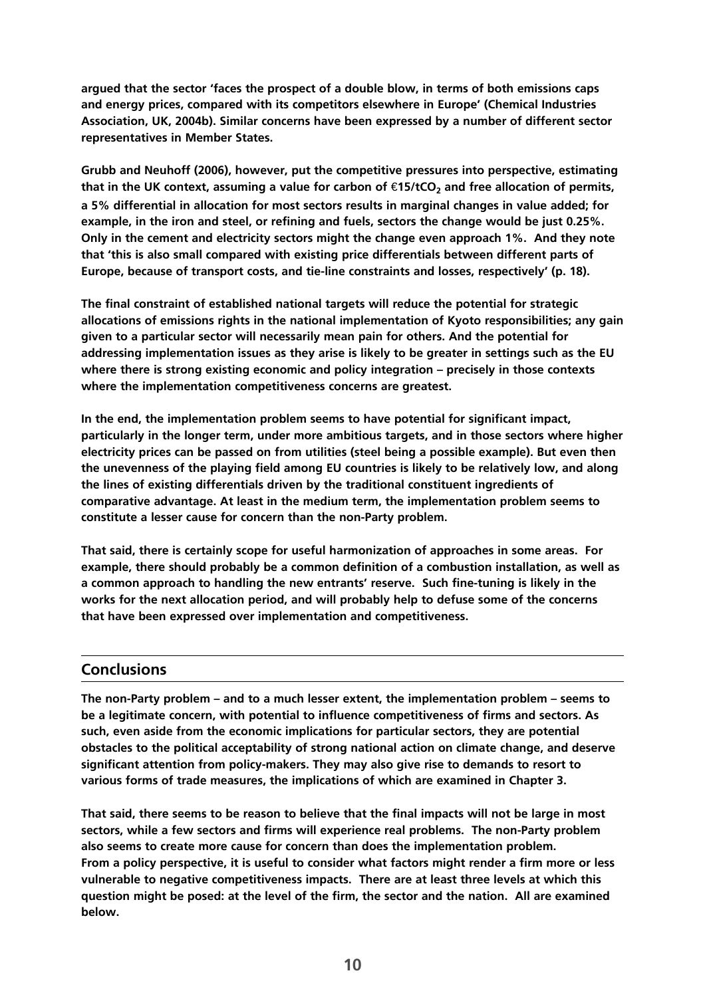**argued that the sector 'faces the prospect of a double blow, in terms of both emissions caps and energy prices, compared with its competitors elsewhere in Europe' (Chemical Industries Association, UK, 2004b). Similar concerns have been expressed by a number of different sector representatives in Member States.**

**Grubb and Neuhoff (2006), however, put the competitive pressures into perspective, estimating** that in the UK context, assuming a value for carbon of €15/tCO<sub>2</sub> and free allocation of permits, **a 5% differential in allocation for most sectors results in marginal changes in value added; for example, in the iron and steel, or refining and fuels, sectors the change would be just 0.25%. Only in the cement and electricity sectors might the change even approach 1%. And they note that 'this is also small compared with existing price differentials between different parts of Europe, because of transport costs, and tie-line constraints and losses, respectively' (p. 18).**

**The final constraint of established national targets will reduce the potential for strategic allocations of emissions rights in the national implementation of Kyoto responsibilities; any gain given to a particular sector will necessarily mean pain for others. And the potential for addressing implementation issues as they arise is likely to be greater in settings such as the EU where there is strong existing economic and policy integration – precisely in those contexts where the implementation competitiveness concerns are greatest.** 

**In the end, the implementation problem seems to have potential for significant impact, particularly in the longer term, under more ambitious targets, and in those sectors where higher electricity prices can be passed on from utilities (steel being a possible example). But even then the unevenness of the playing field among EU countries is likely to be relatively low, and along the lines of existing differentials driven by the traditional constituent ingredients of comparative advantage. At least in the medium term, the implementation problem seems to constitute a lesser cause for concern than the non-Party problem.**

**That said, there is certainly scope for useful harmonization of approaches in some areas. For example, there should probably be a common definition of a combustion installation, as well as a common approach to handling the new entrants' reserve. Such fine-tuning is likely in the works for the next allocation period, and will probably help to defuse some of the concerns that have been expressed over implementation and competitiveness.**

#### **Conclusions**

**The non-Party problem – and to a much lesser extent, the implementation problem – seems to be a legitimate concern, with potential to influence competitiveness of firms and sectors. As such, even aside from the economic implications for particular sectors, they are potential obstacles to the political acceptability of strong national action on climate change, and deserve significant attention from policy-makers. They may also give rise to demands to resort to various forms of trade measures, the implications of which are examined in Chapter 3.**

**That said, there seems to be reason to believe that the final impacts will not be large in most sectors, while a few sectors and firms will experience real problems. The non-Party problem also seems to create more cause for concern than does the implementation problem. From a policy perspective, it is useful to consider what factors might render a firm more or less vulnerable to negative competitiveness impacts. There are at least three levels at which this question might be posed: at the level of the firm, the sector and the nation. All are examined below.**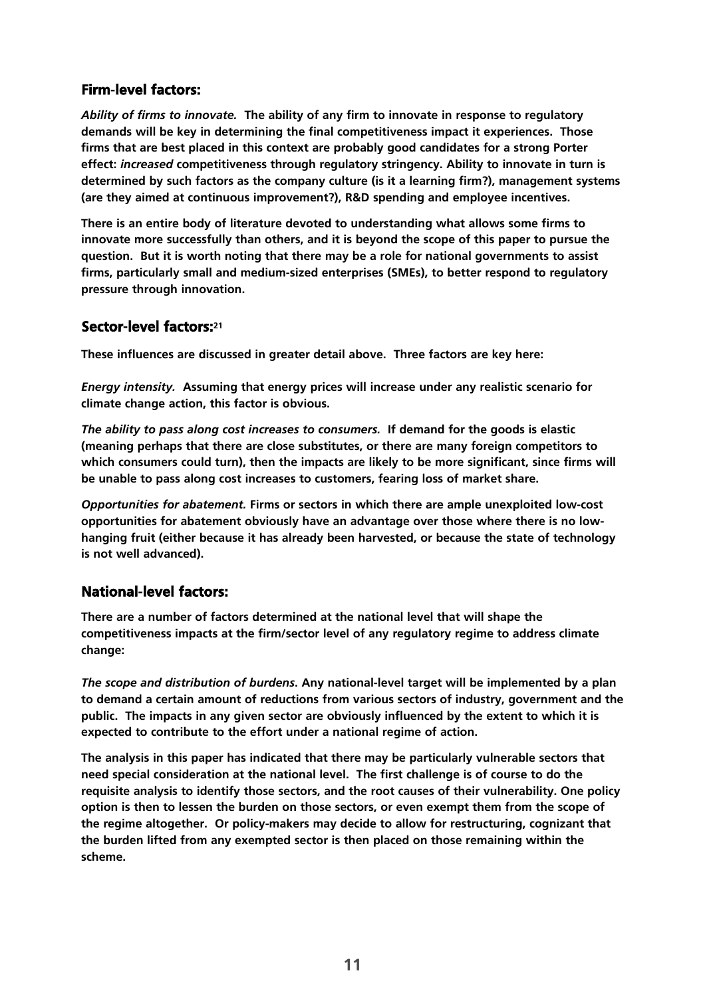#### **Firm-level factors:**

*Ability of firms to innovate.* **The ability of any firm to innovate in response to regulatory demands will be key in determining the final competitiveness impact it experiences. Those firms that are best placed in this context are probably good candidates for a strong Porter effect:** *increased* **competitiveness through regulatory stringency. Ability to innovate in turn is determined by such factors as the company culture (is it a learning firm?), management systems (are they aimed at continuous improvement?), R&D spending and employee incentives.**

**There is an entire body of literature devoted to understanding what allows some firms to innovate more successfully than others, and it is beyond the scope of this paper to pursue the question. But it is worth noting that there may be a role for national governments to assist firms, particularly small and medium-sized enterprises (SMEs), to better respond to regulatory pressure through innovation.** 

#### **Sector-level factors:21**

**These influences are discussed in greater detail above. Three factors are key here:**

*Energy intensity.* **Assuming that energy prices will increase under any realistic scenario for climate change action, this factor is obvious.** 

*The ability to pass along cost increases to consumers.* **If demand for the goods is elastic (meaning perhaps that there are close substitutes, or there are many foreign competitors to which consumers could turn), then the impacts are likely to be more significant, since firms will be unable to pass along cost increases to customers, fearing loss of market share.**

*Opportunities for abatement.* **Firms or sectors in which there are ample unexploited low-cost opportunities for abatement obviously have an advantage over those where there is no lowhanging fruit (either because it has already been harvested, or because the state of technology is not well advanced).** 

#### **National-level factors:**

**There are a number of factors determined at the national level that will shape the competitiveness impacts at the firm/sector level of any regulatory regime to address climate change:**

*The scope and distribution of burdens***. Any national-level target will be implemented by a plan to demand a certain amount of reductions from various sectors of industry, government and the public. The impacts in any given sector are obviously influenced by the extent to which it is expected to contribute to the effort under a national regime of action.**

**The analysis in this paper has indicated that there may be particularly vulnerable sectors that need special consideration at the national level. The first challenge is of course to do the requisite analysis to identify those sectors, and the root causes of their vulnerability. One policy option is then to lessen the burden on those sectors, or even exempt them from the scope of the regime altogether. Or policy-makers may decide to allow for restructuring, cognizant that the burden lifted from any exempted sector is then placed on those remaining within the scheme.**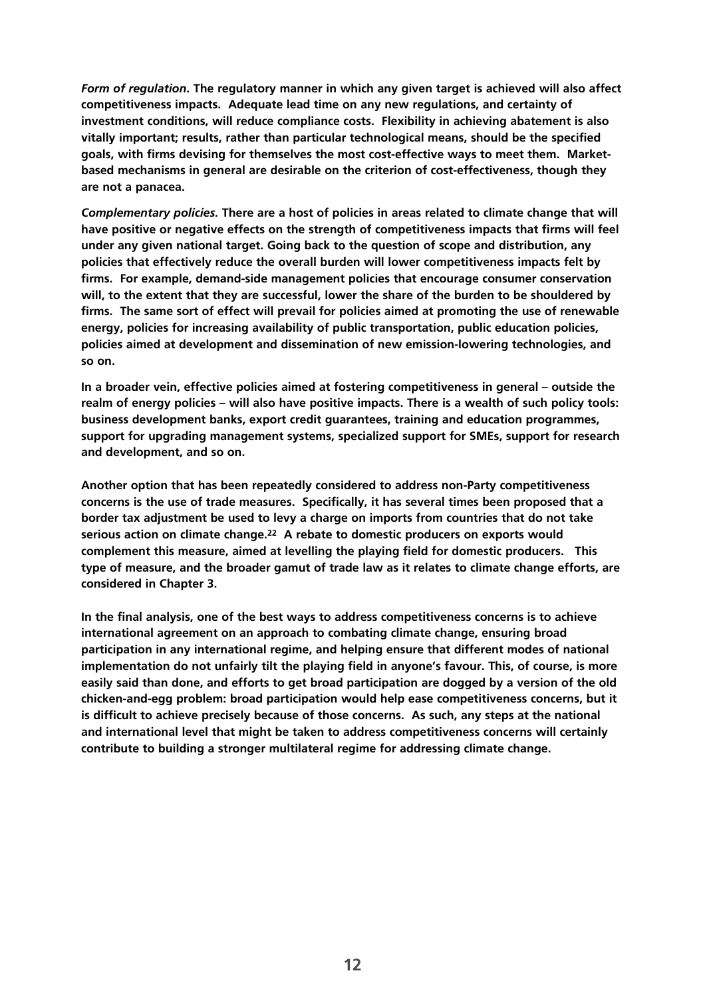*Form of regulation***. The regulatory manner in which any given target is achieved will also affect competitiveness impacts. Adequate lead time on any new regulations, and certainty of investment conditions, will reduce compliance costs. Flexibility in achieving abatement is also vitally important; results, rather than particular technological means, should be the specified goals, with firms devising for themselves the most cost-effective ways to meet them. Marketbased mechanisms in general are desirable on the criterion of cost-effectiveness, though they are not a panacea.**

*Complementary policies.* **There are a host of policies in areas related to climate change that will have positive or negative effects on the strength of competitiveness impacts that firms will feel under any given national target. Going back to the question of scope and distribution, any policies that effectively reduce the overall burden will lower competitiveness impacts felt by firms. For example, demand-side management policies that encourage consumer conservation will, to the extent that they are successful, lower the share of the burden to be shouldered by firms. The same sort of effect will prevail for policies aimed at promoting the use of renewable energy, policies for increasing availability of public transportation, public education policies, policies aimed at development and dissemination of new emission-lowering technologies, and so on.**

**In a broader vein, effective policies aimed at fostering competitiveness in general – outside the realm of energy policies – will also have positive impacts. There is a wealth of such policy tools: business development banks, export credit guarantees, training and education programmes, support for upgrading management systems, specialized support for SMEs, support for research and development, and so on.**

**Another option that has been repeatedly considered to address non-Party competitiveness concerns is the use of trade measures. Specifically, it has several times been proposed that a border tax adjustment be used to levy a charge on imports from countries that do not take serious action on climate change.22 A rebate to domestic producers on exports would complement this measure, aimed at levelling the playing field for domestic producers. This type of measure, and the broader gamut of trade law as it relates to climate change efforts, are considered in Chapter 3.**

**In the final analysis, one of the best ways to address competitiveness concerns is to achieve international agreement on an approach to combating climate change, ensuring broad participation in any international regime, and helping ensure that different modes of national implementation do not unfairly tilt the playing field in anyone's favour. This, of course, is more easily said than done, and efforts to get broad participation are dogged by a version of the old chicken-and-egg problem: broad participation would help ease competitiveness concerns, but it is difficult to achieve precisely because of those concerns. As such, any steps at the national and international level that might be taken to address competitiveness concerns will certainly contribute to building a stronger multilateral regime for addressing climate change.**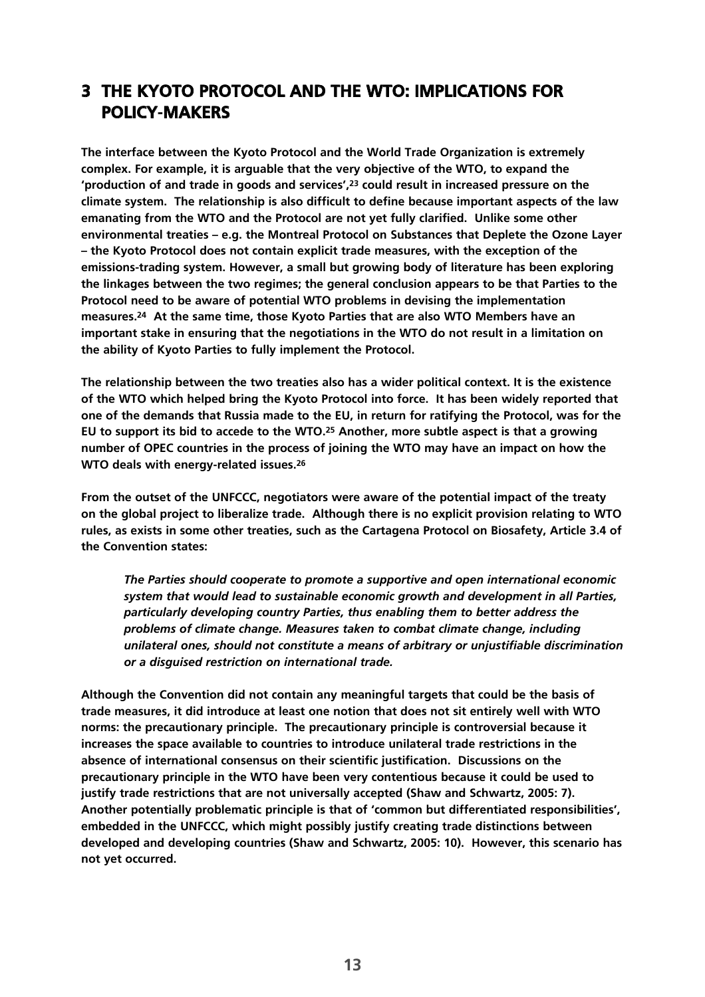## **3 THE KYOTO PROTOCOL AND THE WTO: IMPLICATIONS FOR POLICY-MAKERS**

**The interface between the Kyoto Protocol and the World Trade Organization is extremely complex. For example, it is arguable that the very objective of the WTO, to expand the 'production of and trade in goods and services',23 could result in increased pressure on the climate system. The relationship is also difficult to define because important aspects of the law emanating from the WTO and the Protocol are not yet fully clarified. Unlike some other environmental treaties – e.g. the Montreal Protocol on Substances that Deplete the Ozone Layer – the Kyoto Protocol does not contain explicit trade measures, with the exception of the emissions-trading system. However, a small but growing body of literature has been exploring the linkages between the two regimes; the general conclusion appears to be that Parties to the Protocol need to be aware of potential WTO problems in devising the implementation measures.24 At the same time, those Kyoto Parties that are also WTO Members have an important stake in ensuring that the negotiations in the WTO do not result in a limitation on the ability of Kyoto Parties to fully implement the Protocol.** 

**The relationship between the two treaties also has a wider political context. It is the existence of the WTO which helped bring the Kyoto Protocol into force. It has been widely reported that one of the demands that Russia made to the EU, in return for ratifying the Protocol, was for the EU to support its bid to accede to the WTO.25 Another, more subtle aspect is that a growing number of OPEC countries in the process of joining the WTO may have an impact on how the WTO deals with energy-related issues.26**

**From the outset of the UNFCCC, negotiators were aware of the potential impact of the treaty on the global project to liberalize trade. Although there is no explicit provision relating to WTO rules, as exists in some other treaties, such as the Cartagena Protocol on Biosafety, Article 3.4 of the Convention states:**

*The Parties should cooperate to promote a supportive and open international economic system that would lead to sustainable economic growth and development in all Parties, particularly developing country Parties, thus enabling them to better address the problems of climate change. Measures taken to combat climate change, including unilateral ones, should not constitute a means of arbitrary or unjustifiable discrimination or a disguised restriction on international trade.*

**Although the Convention did not contain any meaningful targets that could be the basis of trade measures, it did introduce at least one notion that does not sit entirely well with WTO norms: the precautionary principle. The precautionary principle is controversial because it increases the space available to countries to introduce unilateral trade restrictions in the absence of international consensus on their scientific justification. Discussions on the precautionary principle in the WTO have been very contentious because it could be used to justify trade restrictions that are not universally accepted (Shaw and Schwartz, 2005: 7). Another potentially problematic principle is that of 'common but differentiated responsibilities', embedded in the UNFCCC, which might possibly justify creating trade distinctions between developed and developing countries (Shaw and Schwartz, 2005: 10). However, this scenario has not yet occurred.**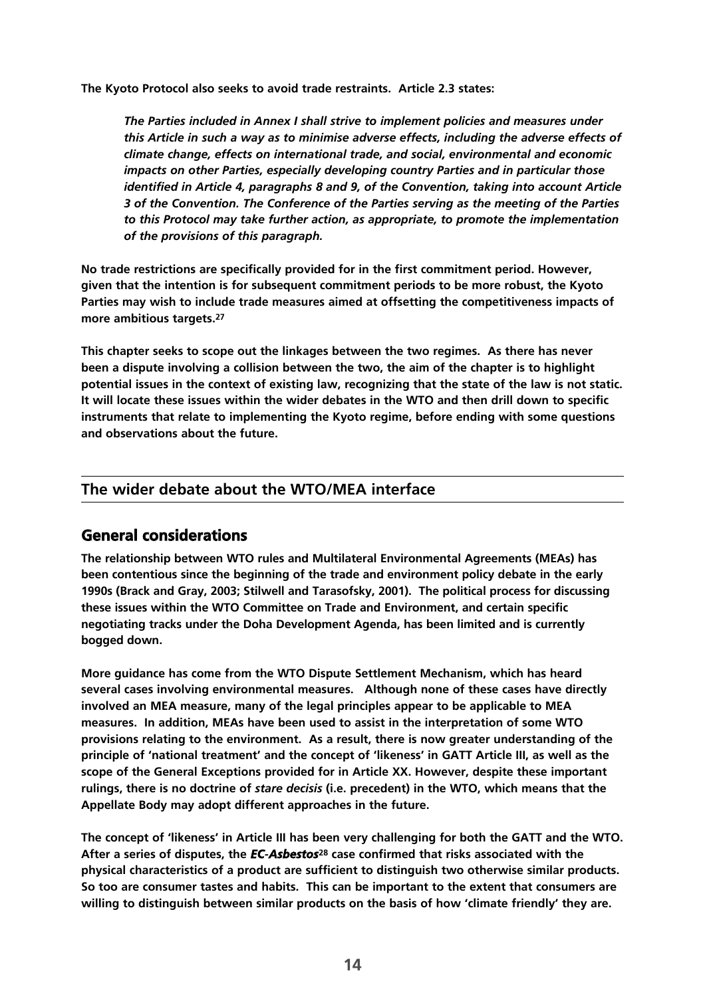**The Kyoto Protocol also seeks to avoid trade restraints. Article 2.3 states:**

*The Parties included in Annex I shall strive to implement policies and measures under this Article in such a way as to minimise adverse effects, including the adverse effects of climate change, effects on international trade, and social, environmental and economic impacts on other Parties, especially developing country Parties and in particular those identified in Article 4, paragraphs 8 and 9, of the Convention, taking into account Article 3 of the Convention. The Conference of the Parties serving as the meeting of the Parties to this Protocol may take further action, as appropriate, to promote the implementation of the provisions of this paragraph.*

**No trade restrictions are specifically provided for in the first commitment period. However, given that the intention is for subsequent commitment periods to be more robust, the Kyoto Parties may wish to include trade measures aimed at offsetting the competitiveness impacts of more ambitious targets.27**

**This chapter seeks to scope out the linkages between the two regimes. As there has never been a dispute involving a collision between the two, the aim of the chapter is to highlight potential issues in the context of existing law, recognizing that the state of the law is not static. It will locate these issues within the wider debates in the WTO and then drill down to specific instruments that relate to implementing the Kyoto regime, before ending with some questions and observations about the future.** 

#### **The wider debate about the WTO/MEA interface**

#### **General considerations**

**The relationship between WTO rules and Multilateral Environmental Agreements (MEAs) has been contentious since the beginning of the trade and environment policy debate in the early 1990s (Brack and Gray, 2003; Stilwell and Tarasofsky, 2001). The political process for discussing these issues within the WTO Committee on Trade and Environment, and certain specific negotiating tracks under the Doha Development Agenda, has been limited and is currently bogged down.** 

**More guidance has come from the WTO Dispute Settlement Mechanism, which has heard several cases involving environmental measures. Although none of these cases have directly involved an MEA measure, many of the legal principles appear to be applicable to MEA measures. In addition, MEAs have been used to assist in the interpretation of some WTO provisions relating to the environment. As a result, there is now greater understanding of the principle of 'national treatment' and the concept of 'likeness' in GATT Article III, as well as the scope of the General Exceptions provided for in Article XX. However, despite these important rulings, there is no doctrine of** *stare decisis* **(i.e. precedent) in the WTO, which means that the Appellate Body may adopt different approaches in the future.**

**The concept of 'likeness' in Article III has been very challenging for both the GATT and the WTO. After a series of disputes, the** *EC-Asbestos***<sup>28</sup> case confirmed that risks associated with the physical characteristics of a product are sufficient to distinguish two otherwise similar products. So too are consumer tastes and habits. This can be important to the extent that consumers are willing to distinguish between similar products on the basis of how 'climate friendly' they are.**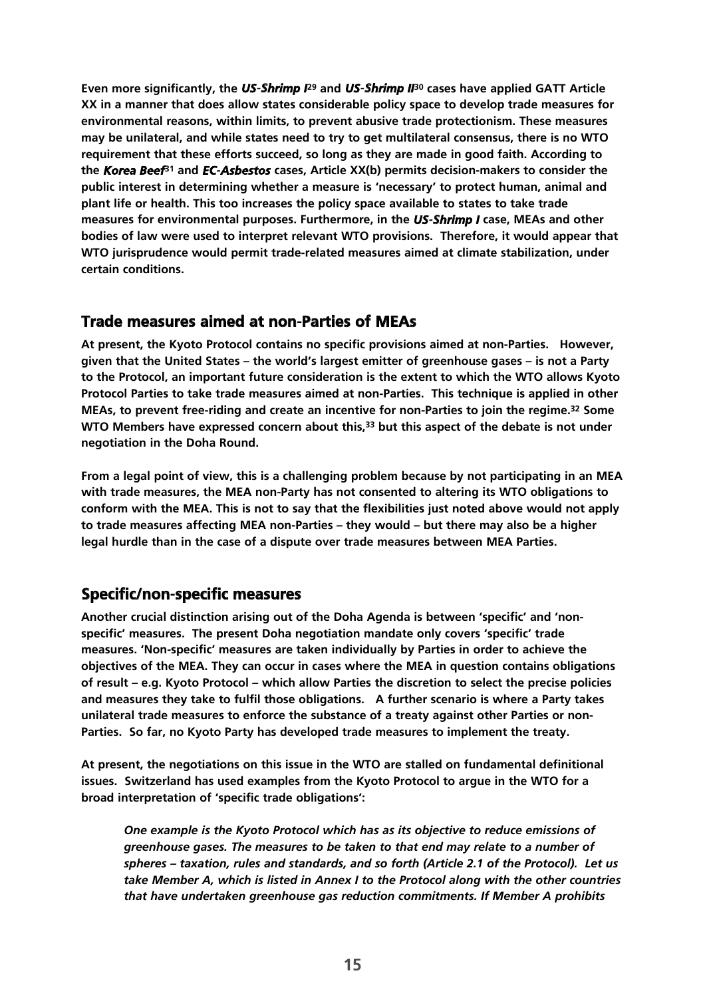**Even more significantly, the** *US-Shrimp I***<sup>29</sup> and** *US-Shrimp II***<sup>30</sup> cases have applied GATT Article XX in a manner that does allow states considerable policy space to develop trade measures for environmental reasons, within limits, to prevent abusive trade protectionism. These measures may be unilateral, and while states need to try to get multilateral consensus, there is no WTO requirement that these efforts succeed, so long as they are made in good faith. According to the** *Korea Beef***<sup>31</sup> and** *EC-Asbestos* **cases, Article XX(b) permits decision-makers to consider the public interest in determining whether a measure is 'necessary' to protect human, animal and plant life or health. This too increases the policy space available to states to take trade measures for environmental purposes. Furthermore, in the** *US-Shrimp I* **case, MEAs and other bodies of law were used to interpret relevant WTO provisions. Therefore, it would appear that WTO jurisprudence would permit trade-related measures aimed at climate stabilization, under certain conditions.**

#### **Trade measures aimed at non-Parties of MEAs**

**At present, the Kyoto Protocol contains no specific provisions aimed at non-Parties. However, given that the United States – the world's largest emitter of greenhouse gases – is not a Party to the Protocol, an important future consideration is the extent to which the WTO allows Kyoto Protocol Parties to take trade measures aimed at non-Parties. This technique is applied in other MEAs, to prevent free-riding and create an incentive for non-Parties to join the regime.32 Some WTO Members have expressed concern about this,33 but this aspect of the debate is not under negotiation in the Doha Round.** 

**From a legal point of view, this is a challenging problem because by not participating in an MEA with trade measures, the MEA non-Party has not consented to altering its WTO obligations to conform with the MEA. This is not to say that the flexibilities just noted above would not apply to trade measures affecting MEA non-Parties – they would – but there may also be a higher legal hurdle than in the case of a dispute over trade measures between MEA Parties.**

## **Specific/non-specific measures**

**Another crucial distinction arising out of the Doha Agenda is between 'specific' and 'nonspecific' measures. The present Doha negotiation mandate only covers 'specific' trade measures. 'Non-specific' measures are taken individually by Parties in order to achieve the objectives of the MEA. They can occur in cases where the MEA in question contains obligations of result – e.g. Kyoto Protocol – which allow Parties the discretion to select the precise policies and measures they take to fulfil those obligations. A further scenario is where a Party takes unilateral trade measures to enforce the substance of a treaty against other Parties or non-Parties. So far, no Kyoto Party has developed trade measures to implement the treaty.** 

**At present, the negotiations on this issue in the WTO are stalled on fundamental definitional issues. Switzerland has used examples from the Kyoto Protocol to argue in the WTO for a broad interpretation of 'specific trade obligations':**

*One example is the Kyoto Protocol which has as its objective to reduce emissions of greenhouse gases. The measures to be taken to that end may relate to a number of spheres – taxation, rules and standards, and so forth (Article 2.1 of the Protocol). Let us take Member A, which is listed in Annex I to the Protocol along with the other countries that have undertaken greenhouse gas reduction commitments. If Member A prohibits*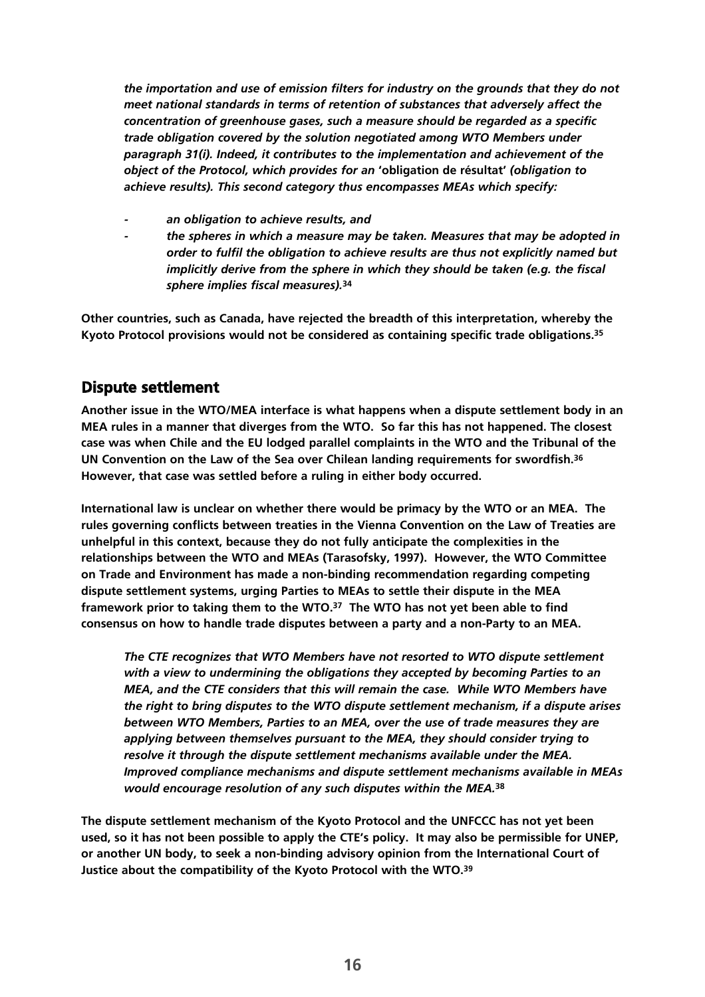*the importation and use of emission filters for industry on the grounds that they do not meet national standards in terms of retention of substances that adversely affect the concentration of greenhouse gases, such a measure should be regarded as a specific trade obligation covered by the solution negotiated among WTO Members under paragraph 31(i). Indeed, it contributes to the implementation and achievement of the object of the Protocol, which provides for an* **'obligation de résultat'** *(obligation to achieve results). This second category thus encompasses MEAs which specify:*

- *an obligation to achieve results, and*
- *the spheres in which a measure may be taken. Measures that may be adopted in order to fulfil the obligation to achieve results are thus not explicitly named but implicitly derive from the sphere in which they should be taken (e.g. the fiscal sphere implies fiscal measures).***<sup>34</sup>**

**Other countries, such as Canada, have rejected the breadth of this interpretation, whereby the Kyoto Protocol provisions would not be considered as containing specific trade obligations.35**

#### **Dispute settlement**

**Another issue in the WTO/MEA interface is what happens when a dispute settlement body in an MEA rules in a manner that diverges from the WTO. So far this has not happened. The closest case was when Chile and the EU lodged parallel complaints in the WTO and the Tribunal of the UN Convention on the Law of the Sea over Chilean landing requirements for swordfish.36 However, that case was settled before a ruling in either body occurred.**

**International law is unclear on whether there would be primacy by the WTO or an MEA. The rules governing conflicts between treaties in the Vienna Convention on the Law of Treaties are unhelpful in this context, because they do not fully anticipate the complexities in the relationships between the WTO and MEAs (Tarasofsky, 1997). However, the WTO Committee on Trade and Environment has made a non-binding recommendation regarding competing dispute settlement systems, urging Parties to MEAs to settle their dispute in the MEA framework prior to taking them to the WTO.37 The WTO has not yet been able to find consensus on how to handle trade disputes between a party and a non-Party to an MEA.**

*The CTE recognizes that WTO Members have not resorted to WTO dispute settlement with a view to undermining the obligations they accepted by becoming Parties to an MEA, and the CTE considers that this will remain the case. While WTO Members have the right to bring disputes to the WTO dispute settlement mechanism, if a dispute arises between WTO Members, Parties to an MEA, over the use of trade measures they are applying between themselves pursuant to the MEA, they should consider trying to resolve it through the dispute settlement mechanisms available under the MEA. Improved compliance mechanisms and dispute settlement mechanisms available in MEAs would encourage resolution of any such disputes within the MEA.***<sup>38</sup>**

**The dispute settlement mechanism of the Kyoto Protocol and the UNFCCC has not yet been used, so it has not been possible to apply the CTE's policy. It may also be permissible for UNEP, or another UN body, to seek a non-binding advisory opinion from the International Court of Justice about the compatibility of the Kyoto Protocol with the WTO.39**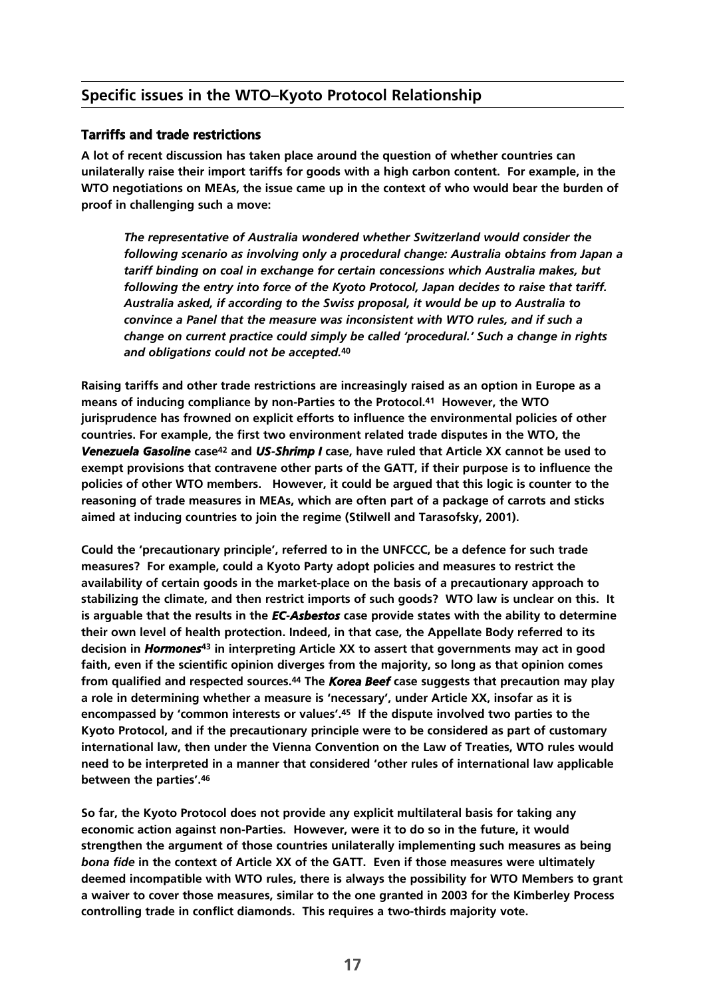#### **Specific issues in the WTO–Kyoto Protocol Relationship**

#### **Tarriffs and trade restrictions**

**A lot of recent discussion has taken place around the question of whether countries can unilaterally raise their import tariffs for goods with a high carbon content. For example, in the WTO negotiations on MEAs, the issue came up in the context of who would bear the burden of proof in challenging such a move:**

*The representative of Australia wondered whether Switzerland would consider the following scenario as involving only a procedural change: Australia obtains from Japan a tariff binding on coal in exchange for certain concessions which Australia makes, but following the entry into force of the Kyoto Protocol, Japan decides to raise that tariff. Australia asked, if according to the Swiss proposal, it would be up to Australia to convince a Panel that the measure was inconsistent with WTO rules, and if such a change on current practice could simply be called 'procedural.' Such a change in rights and obligations could not be accepted.***<sup>40</sup>**

**Raising tariffs and other trade restrictions are increasingly raised as an option in Europe as a means of inducing compliance by non-Parties to the Protocol.41 However, the WTO jurisprudence has frowned on explicit efforts to influence the environmental policies of other countries. For example, the first two environment related trade disputes in the WTO, the** *Venezuela Gasoline* **case42 and** *US-Shrimp I* **case, have ruled that Article XX cannot be used to exempt provisions that contravene other parts of the GATT, if their purpose is to influence the policies of other WTO members. However, it could be argued that this logic is counter to the reasoning of trade measures in MEAs, which are often part of a package of carrots and sticks aimed at inducing countries to join the regime (Stilwell and Tarasofsky, 2001).**

**Could the 'precautionary principle', referred to in the UNFCCC, be a defence for such trade measures? For example, could a Kyoto Party adopt policies and measures to restrict the availability of certain goods in the market-place on the basis of a precautionary approach to stabilizing the climate, and then restrict imports of such goods? WTO law is unclear on this. It is arguable that the results in the** *EC-Asbestos* **case provide states with the ability to determine their own level of health protection. Indeed, in that case, the Appellate Body referred to its decision in** *Hormones***<sup>43</sup> in interpreting Article XX to assert that governments may act in good faith, even if the scientific opinion diverges from the majority, so long as that opinion comes from qualified and respected sources.44 The** *Korea Beef* **case suggests that precaution may play a role in determining whether a measure is 'necessary', under Article XX, insofar as it is encompassed by 'common interests or values'.45 If the dispute involved two parties to the Kyoto Protocol, and if the precautionary principle were to be considered as part of customary international law, then under the Vienna Convention on the Law of Treaties, WTO rules would need to be interpreted in a manner that considered 'other rules of international law applicable between the parties'.46**

**So far, the Kyoto Protocol does not provide any explicit multilateral basis for taking any economic action against non-Parties. However, were it to do so in the future, it would strengthen the argument of those countries unilaterally implementing such measures as being** *bona fide* **in the context of Article XX of the GATT. Even if those measures were ultimately deemed incompatible with WTO rules, there is always the possibility for WTO Members to grant a waiver to cover those measures, similar to the one granted in 2003 for the Kimberley Process controlling trade in conflict diamonds. This requires a two-thirds majority vote.**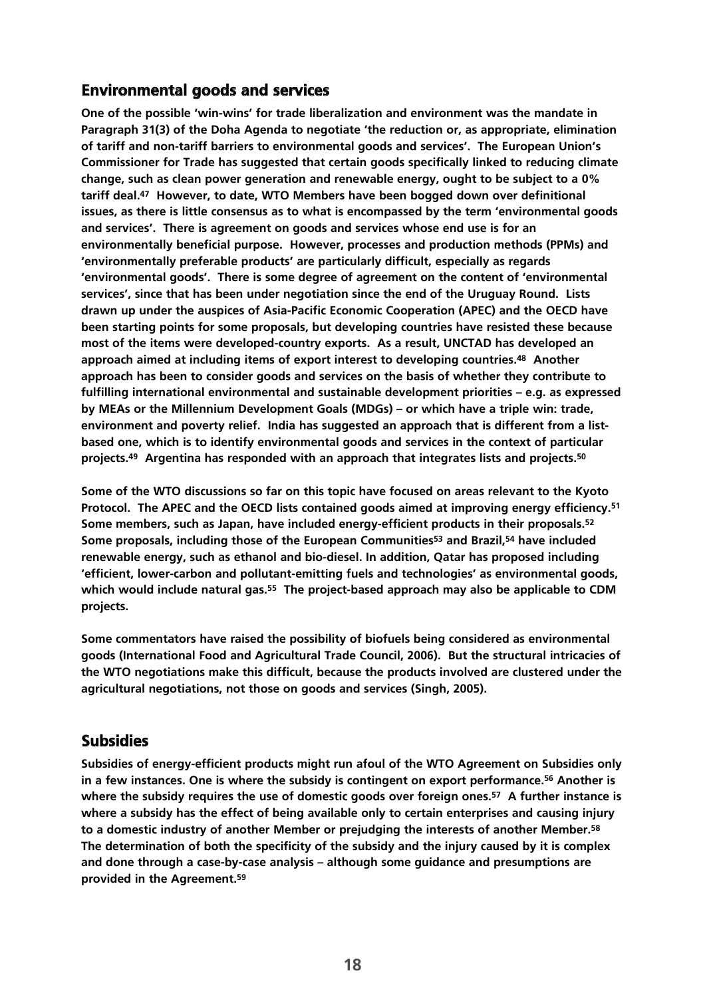## **Environmental goods and services**

**One of the possible 'win-wins' for trade liberalization and environment was the mandate in Paragraph 31(3) of the Doha Agenda to negotiate 'the reduction or, as appropriate, elimination of tariff and non-tariff barriers to environmental goods and services'. The European Union's Commissioner for Trade has suggested that certain goods specifically linked to reducing climate change, such as clean power generation and renewable energy, ought to be subject to a 0% tariff deal.47 However, to date, WTO Members have been bogged down over definitional issues, as there is little consensus as to what is encompassed by the term 'environmental goods and services'. There is agreement on goods and services whose end use is for an environmentally beneficial purpose. However, processes and production methods (PPMs) and 'environmentally preferable products' are particularly difficult, especially as regards 'environmental goods'. There is some degree of agreement on the content of 'environmental services', since that has been under negotiation since the end of the Uruguay Round. Lists drawn up under the auspices of Asia-Pacific Economic Cooperation (APEC) and the OECD have been starting points for some proposals, but developing countries have resisted these because most of the items were developed-country exports. As a result, UNCTAD has developed an approach aimed at including items of export interest to developing countries.48 Another approach has been to consider goods and services on the basis of whether they contribute to fulfilling international environmental and sustainable development priorities – e.g. as expressed by MEAs or the Millennium Development Goals (MDGs) – or which have a triple win: trade, environment and poverty relief. India has suggested an approach that is different from a listbased one, which is to identify environmental goods and services in the context of particular projects.49 Argentina has responded with an approach that integrates lists and projects.50**

**Some of the WTO discussions so far on this topic have focused on areas relevant to the Kyoto Protocol. The APEC and the OECD lists contained goods aimed at improving energy efficiency.51 Some members, such as Japan, have included energy-efficient products in their proposals.52 Some proposals, including those of the European Communities53 and Brazil,54 have included renewable energy, such as ethanol and bio-diesel. In addition, Qatar has proposed including 'efficient, lower-carbon and pollutant-emitting fuels and technologies' as environmental goods, which would include natural gas.55 The project-based approach may also be applicable to CDM projects.** 

**Some commentators have raised the possibility of biofuels being considered as environmental goods (International Food and Agricultural Trade Council, 2006). But the structural intricacies of the WTO negotiations make this difficult, because the products involved are clustered under the agricultural negotiations, not those on goods and services (Singh, 2005).** 

#### **Subsidies**

**Subsidies of energy-efficient products might run afoul of the WTO Agreement on Subsidies only in a few instances. One is where the subsidy is contingent on export performance.56 Another is where the subsidy requires the use of domestic goods over foreign ones.57 A further instance is where a subsidy has the effect of being available only to certain enterprises and causing injury to a domestic industry of another Member or prejudging the interests of another Member.58 The determination of both the specificity of the subsidy and the injury caused by it is complex and done through a case-by-case analysis – although some guidance and presumptions are provided in the Agreement.59**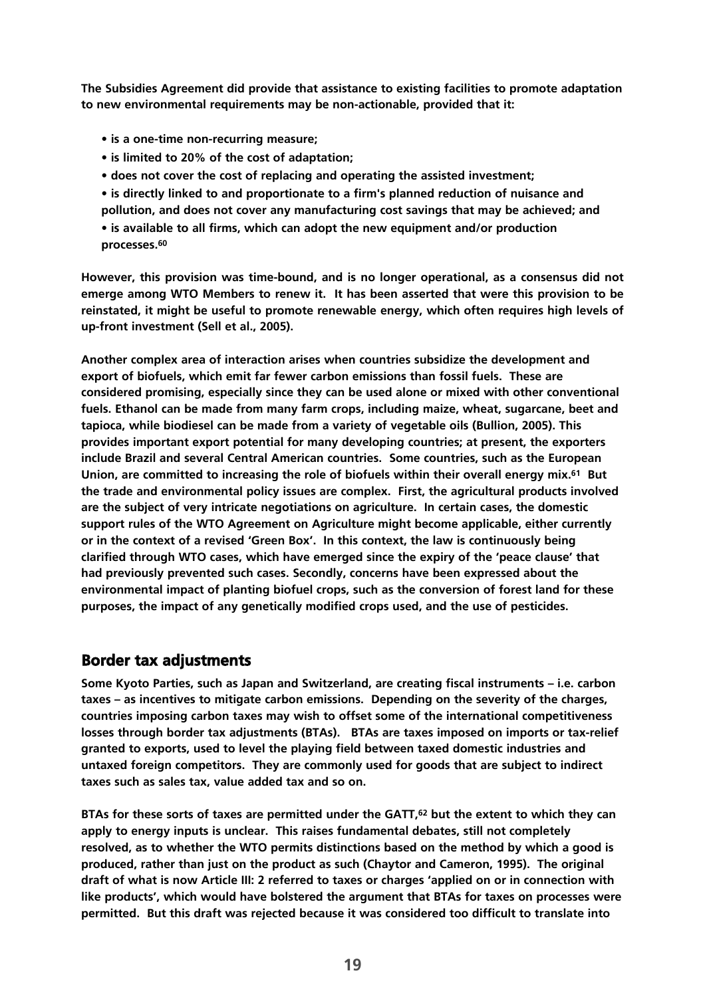**The Subsidies Agreement did provide that assistance to existing facilities to promote adaptation to new environmental requirements may be non-actionable, provided that it:**

- **is a one-time non-recurring measure;**
- **is limited to 20% of the cost of adaptation;**
- **does not cover the cost of replacing and operating the assisted investment;**
- **is directly linked to and proportionate to a firm's planned reduction of nuisance and pollution, and does not cover any manufacturing cost savings that may be achieved; and • is available to all firms, which can adopt the new equipment and/or production processes.60**

**However, this provision was time-bound, and is no longer operational, as a consensus did not emerge among WTO Members to renew it. It has been asserted that were this provision to be reinstated, it might be useful to promote renewable energy, which often requires high levels of up-front investment (Sell et al., 2005).** 

**Another complex area of interaction arises when countries subsidize the development and export of biofuels, which emit far fewer carbon emissions than fossil fuels. These are considered promising, especially since they can be used alone or mixed with other conventional fuels. Ethanol can be made from many farm crops, including maize, wheat, sugarcane, beet and tapioca, while biodiesel can be made from a variety of vegetable oils (Bullion, 2005). This provides important export potential for many developing countries; at present, the exporters include Brazil and several Central American countries. Some countries, such as the European Union, are committed to increasing the role of biofuels within their overall energy mix.61 But the trade and environmental policy issues are complex. First, the agricultural products involved are the subject of very intricate negotiations on agriculture. In certain cases, the domestic support rules of the WTO Agreement on Agriculture might become applicable, either currently or in the context of a revised 'Green Box'. In this context, the law is continuously being clarified through WTO cases, which have emerged since the expiry of the 'peace clause' that had previously prevented such cases. Secondly, concerns have been expressed about the environmental impact of planting biofuel crops, such as the conversion of forest land for these purposes, the impact of any genetically modified crops used, and the use of pesticides.**

#### **Border tax adjustments**

**Some Kyoto Parties, such as Japan and Switzerland, are creating fiscal instruments – i.e. carbon taxes – as incentives to mitigate carbon emissions. Depending on the severity of the charges, countries imposing carbon taxes may wish to offset some of the international competitiveness losses through border tax adjustments (BTAs). BTAs are taxes imposed on imports or tax-relief granted to exports, used to level the playing field between taxed domestic industries and untaxed foreign competitors. They are commonly used for goods that are subject to indirect taxes such as sales tax, value added tax and so on.**

**BTAs for these sorts of taxes are permitted under the GATT,62 but the extent to which they can apply to energy inputs is unclear. This raises fundamental debates, still not completely resolved, as to whether the WTO permits distinctions based on the method by which a good is produced, rather than just on the product as such (Chaytor and Cameron, 1995). The original draft of what is now Article III: 2 referred to taxes or charges 'applied on or in connection with like products', which would have bolstered the argument that BTAs for taxes on processes were permitted. But this draft was rejected because it was considered too difficult to translate into**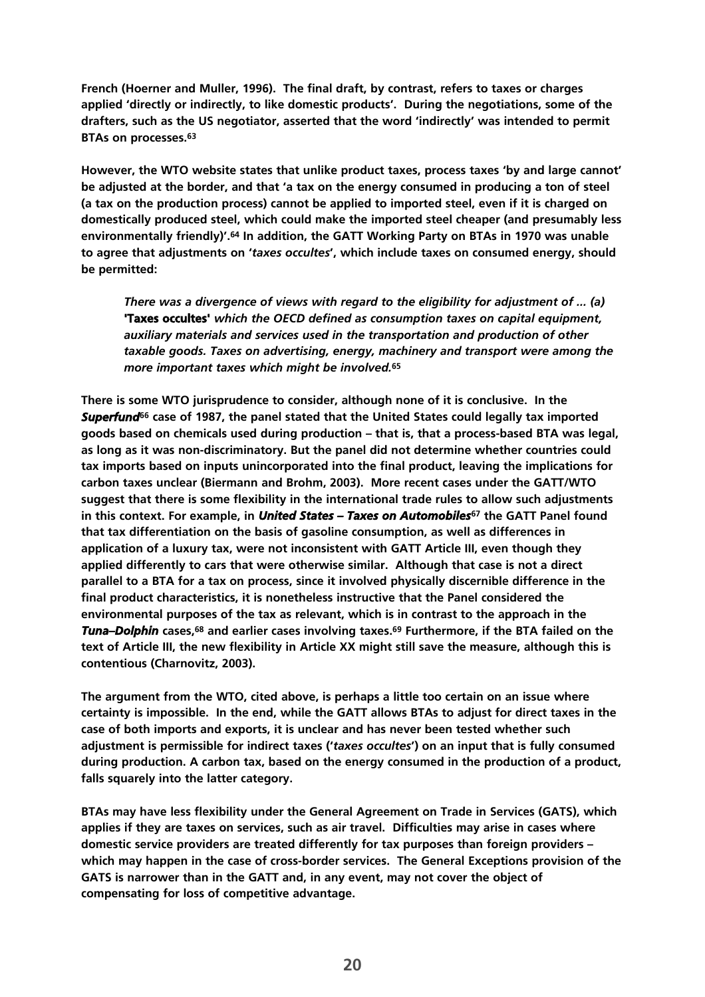**French (Hoerner and Muller, 1996). The final draft, by contrast, refers to taxes or charges applied 'directly or indirectly, to like domestic products'. During the negotiations, some of the drafters, such as the US negotiator, asserted that the word 'indirectly' was intended to permit BTAs on processes.63**

**However, the WTO website states that unlike product taxes, process taxes 'by and large cannot' be adjusted at the border, and that 'a tax on the energy consumed in producing a ton of steel (a tax on the production process) cannot be applied to imported steel, even if it is charged on domestically produced steel, which could make the imported steel cheaper (and presumably less environmentally friendly)'.64 In addition, the GATT Working Party on BTAs in 1970 was unable to agree that adjustments on '***taxes occultes***', which include taxes on consumed energy, should be permitted:**

*There was a divergence of views with regard to the eligibility for adjustment of ... (a)* **'Taxes occultes'** *which the OECD defined as consumption taxes on capital equipment, auxiliary materials and services used in the transportation and production of other taxable goods. Taxes on advertising, energy, machinery and transport were among the more important taxes which might be involved.***<sup>65</sup>**

**There is some WTO jurisprudence to consider, although none of it is conclusive. In the** *Superfund***<sup>66</sup> case of 1987, the panel stated that the United States could legally tax imported goods based on chemicals used during production – that is, that a process-based BTA was legal, as long as it was non-discriminatory. But the panel did not determine whether countries could tax imports based on inputs unincorporated into the final product, leaving the implications for carbon taxes unclear (Biermann and Brohm, 2003). More recent cases under the GATT/WTO suggest that there is some flexibility in the international trade rules to allow such adjustments in this context. For example, in** *United States – Taxes on Automobiles***<sup>67</sup> the GATT Panel found that tax differentiation on the basis of gasoline consumption, as well as differences in application of a luxury tax, were not inconsistent with GATT Article III, even though they applied differently to cars that were otherwise similar. Although that case is not a direct parallel to a BTA for a tax on process, since it involved physically discernible difference in the final product characteristics, it is nonetheless instructive that the Panel considered the environmental purposes of the tax as relevant, which is in contrast to the approach in the** *Tuna–Dolphin* **cases,68 and earlier cases involving taxes.69 Furthermore, if the BTA failed on the text of Article III, the new flexibility in Article XX might still save the measure, although this is contentious (Charnovitz, 2003).** 

**The argument from the WTO, cited above, is perhaps a little too certain on an issue where certainty is impossible. In the end, while the GATT allows BTAs to adjust for direct taxes in the case of both imports and exports, it is unclear and has never been tested whether such adjustment is permissible for indirect taxes ('***taxes occultes***') on an input that is fully consumed during production. A carbon tax, based on the energy consumed in the production of a product, falls squarely into the latter category.**

**BTAs may have less flexibility under the General Agreement on Trade in Services (GATS), which applies if they are taxes on services, such as air travel. Difficulties may arise in cases where domestic service providers are treated differently for tax purposes than foreign providers – which may happen in the case of cross-border services. The General Exceptions provision of the GATS is narrower than in the GATT and, in any event, may not cover the object of compensating for loss of competitive advantage.**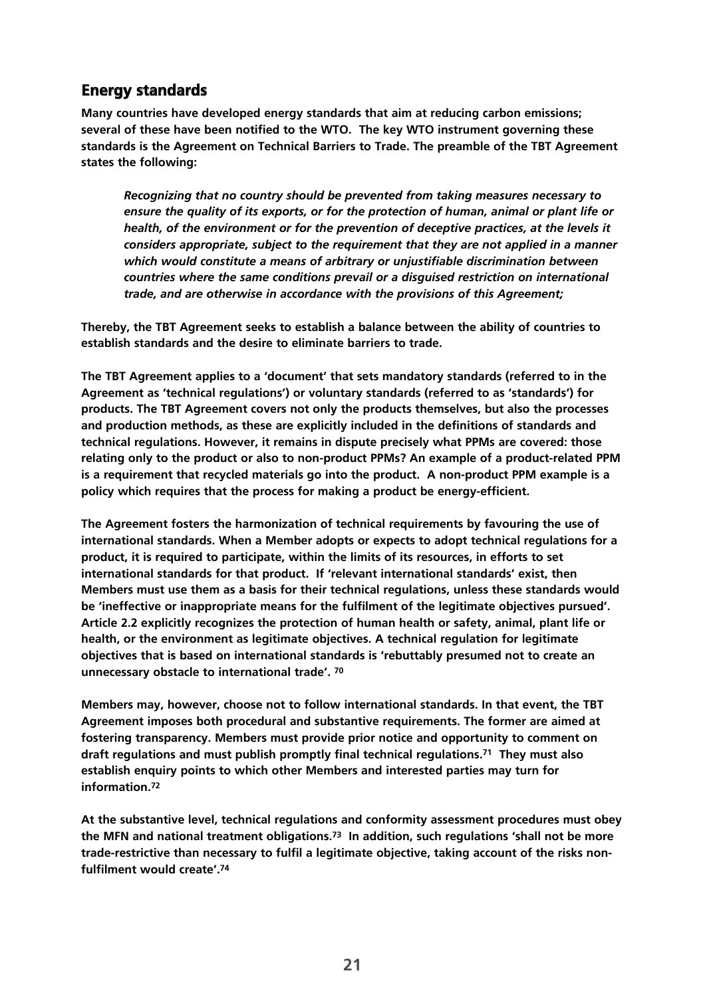## **Energy standards**

**Many countries have developed energy standards that aim at reducing carbon emissions; several of these have been notified to the WTO. The key WTO instrument governing these standards is the Agreement on Technical Barriers to Trade. The preamble of the TBT Agreement states the following:**

*Recognizing that no country should be prevented from taking measures necessary to ensure the quality of its exports, or for the protection of human, animal or plant life or health, of the environment or for the prevention of deceptive practices, at the levels it considers appropriate, subject to the requirement that they are not applied in a manner which would constitute a means of arbitrary or unjustifiable discrimination between countries where the same conditions prevail or a disguised restriction on international trade, and are otherwise in accordance with the provisions of this Agreement;* 

**Thereby, the TBT Agreement seeks to establish a balance between the ability of countries to establish standards and the desire to eliminate barriers to trade.**

**The TBT Agreement applies to a 'document' that sets mandatory standards (referred to in the Agreement as 'technical regulations') or voluntary standards (referred to as 'standards') for products. The TBT Agreement covers not only the products themselves, but also the processes and production methods, as these are explicitly included in the definitions of standards and technical regulations. However, it remains in dispute precisely what PPMs are covered: those relating only to the product or also to non-product PPMs? An example of a product-related PPM is a requirement that recycled materials go into the product. A non-product PPM example is a policy which requires that the process for making a product be energy-efficient.** 

**The Agreement fosters the harmonization of technical requirements by favouring the use of international standards. When a Member adopts or expects to adopt technical regulations for a product, it is required to participate, within the limits of its resources, in efforts to set international standards for that product. If 'relevant international standards' exist, then Members must use them as a basis for their technical regulations, unless these standards would be 'ineffective or inappropriate means for the fulfilment of the legitimate objectives pursued'. Article 2.2 explicitly recognizes the protection of human health or safety, animal, plant life or health, or the environment as legitimate objectives. A technical regulation for legitimate objectives that is based on international standards is 'rebuttably presumed not to create an unnecessary obstacle to international trade'. 70**

**Members may, however, choose not to follow international standards. In that event, the TBT Agreement imposes both procedural and substantive requirements. The former are aimed at fostering transparency. Members must provide prior notice and opportunity to comment on draft regulations and must publish promptly final technical regulations.71 They must also establish enquiry points to which other Members and interested parties may turn for information.72**

**At the substantive level, technical regulations and conformity assessment procedures must obey the MFN and national treatment obligations.73 In addition, such regulations 'shall not be more trade-restrictive than necessary to fulfil a legitimate objective, taking account of the risks nonfulfilment would create'.74**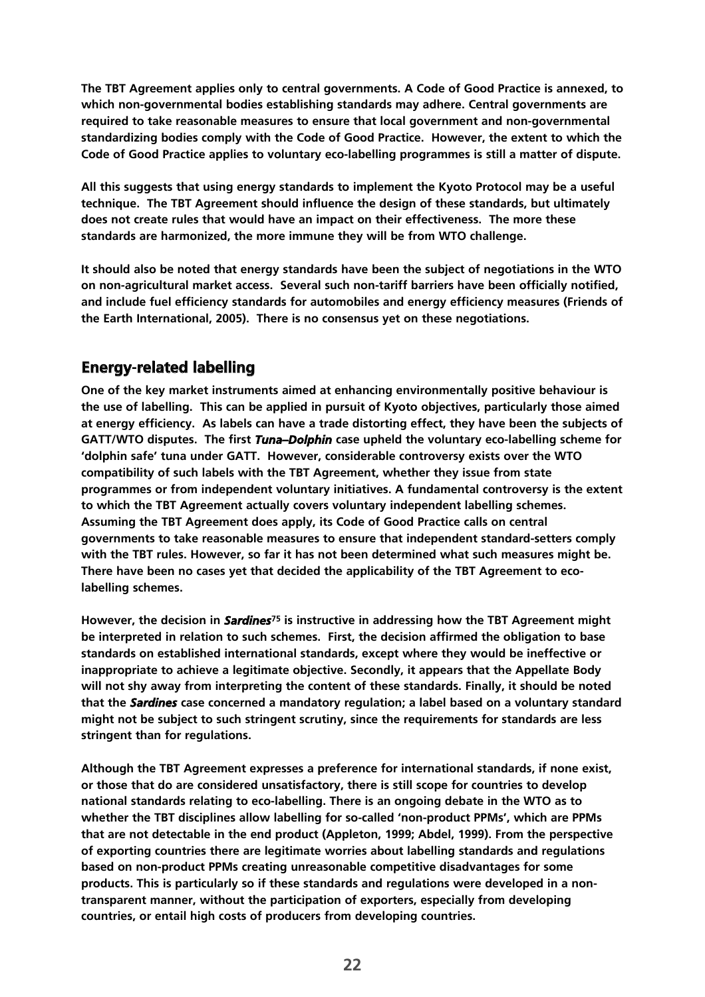**The TBT Agreement applies only to central governments. A Code of Good Practice is annexed, to which non-governmental bodies establishing standards may adhere. Central governments are required to take reasonable measures to ensure that local government and non-governmental standardizing bodies comply with the Code of Good Practice. However, the extent to which the Code of Good Practice applies to voluntary eco-labelling programmes is still a matter of dispute.**

**All this suggests that using energy standards to implement the Kyoto Protocol may be a useful technique. The TBT Agreement should influence the design of these standards, but ultimately does not create rules that would have an impact on their effectiveness. The more these standards are harmonized, the more immune they will be from WTO challenge.** 

**It should also be noted that energy standards have been the subject of negotiations in the WTO on non-agricultural market access. Several such non-tariff barriers have been officially notified, and include fuel efficiency standards for automobiles and energy efficiency measures (Friends of the Earth International, 2005). There is no consensus yet on these negotiations.** 

## **Energy-related labelling**

**One of the key market instruments aimed at enhancing environmentally positive behaviour is the use of labelling. This can be applied in pursuit of Kyoto objectives, particularly those aimed at energy efficiency. As labels can have a trade distorting effect, they have been the subjects of GATT/WTO disputes. The first** *Tuna–Dolphin* **case upheld the voluntary eco-labelling scheme for 'dolphin safe' tuna under GATT. However, considerable controversy exists over the WTO compatibility of such labels with the TBT Agreement, whether they issue from state programmes or from independent voluntary initiatives. A fundamental controversy is the extent to which the TBT Agreement actually covers voluntary independent labelling schemes. Assuming the TBT Agreement does apply, its Code of Good Practice calls on central governments to take reasonable measures to ensure that independent standard-setters comply with the TBT rules. However, so far it has not been determined what such measures might be. There have been no cases yet that decided the applicability of the TBT Agreement to ecolabelling schemes.** 

**However, the decision in** *Sardines***<sup>75</sup> is instructive in addressing how the TBT Agreement might be interpreted in relation to such schemes. First, the decision affirmed the obligation to base standards on established international standards, except where they would be ineffective or inappropriate to achieve a legitimate objective. Secondly, it appears that the Appellate Body will not shy away from interpreting the content of these standards. Finally, it should be noted that the** *Sardines* **case concerned a mandatory regulation; a label based on a voluntary standard might not be subject to such stringent scrutiny, since the requirements for standards are less stringent than for regulations.**

**Although the TBT Agreement expresses a preference for international standards, if none exist, or those that do are considered unsatisfactory, there is still scope for countries to develop national standards relating to eco-labelling. There is an ongoing debate in the WTO as to whether the TBT disciplines allow labelling for so-called 'non-product PPMs', which are PPMs that are not detectable in the end product (Appleton, 1999; Abdel, 1999). From the perspective of exporting countries there are legitimate worries about labelling standards and regulations based on non-product PPMs creating unreasonable competitive disadvantages for some products. This is particularly so if these standards and regulations were developed in a nontransparent manner, without the participation of exporters, especially from developing countries, or entail high costs of producers from developing countries.**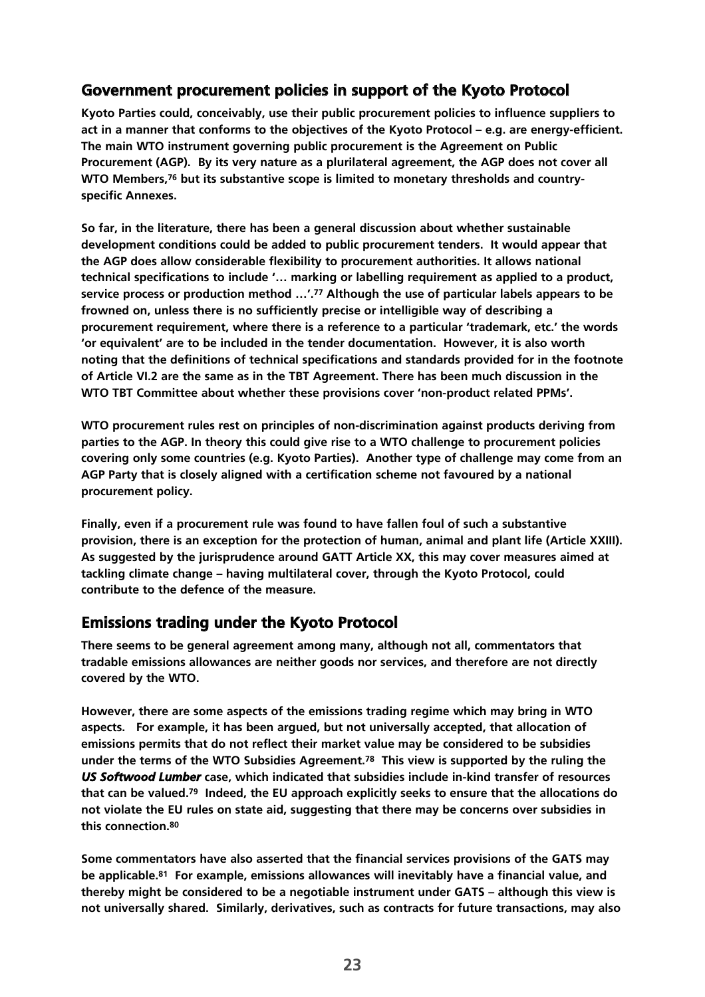## **Government procurement policies in support of the Kyoto Protocol**

**Kyoto Parties could, conceivably, use their public procurement policies to influence suppliers to act in a manner that conforms to the objectives of the Kyoto Protocol – e.g. are energy-efficient. The main WTO instrument governing public procurement is the Agreement on Public Procurement (AGP). By its very nature as a plurilateral agreement, the AGP does not cover all WTO Members,76 but its substantive scope is limited to monetary thresholds and countryspecific Annexes.** 

**So far, in the literature, there has been a general discussion about whether sustainable development conditions could be added to public procurement tenders. It would appear that the AGP does allow considerable flexibility to procurement authorities. It allows national technical specifications to include '… marking or labelling requirement as applied to a product, service process or production method …'.77 Although the use of particular labels appears to be frowned on, unless there is no sufficiently precise or intelligible way of describing a procurement requirement, where there is a reference to a particular 'trademark, etc.' the words 'or equivalent' are to be included in the tender documentation. However, it is also worth noting that the definitions of technical specifications and standards provided for in the footnote of Article VI.2 are the same as in the TBT Agreement. There has been much discussion in the WTO TBT Committee about whether these provisions cover 'non-product related PPMs'.** 

**WTO procurement rules rest on principles of non-discrimination against products deriving from parties to the AGP. In theory this could give rise to a WTO challenge to procurement policies covering only some countries (e.g. Kyoto Parties). Another type of challenge may come from an AGP Party that is closely aligned with a certification scheme not favoured by a national procurement policy.** 

**Finally, even if a procurement rule was found to have fallen foul of such a substantive provision, there is an exception for the protection of human, animal and plant life (Article XXIII). As suggested by the jurisprudence around GATT Article XX, this may cover measures aimed at tackling climate change – having multilateral cover, through the Kyoto Protocol, could contribute to the defence of the measure.** 

## **Emissions trading under the Kyoto Protocol**

**There seems to be general agreement among many, although not all, commentators that tradable emissions allowances are neither goods nor services, and therefore are not directly covered by the WTO.**

**However, there are some aspects of the emissions trading regime which may bring in WTO aspects. For example, it has been argued, but not universally accepted, that allocation of emissions permits that do not reflect their market value may be considered to be subsidies under the terms of the WTO Subsidies Agreement.78 This view is supported by the ruling the** *US Softwood Lumber* **case, which indicated that subsidies include in-kind transfer of resources that can be valued.79 Indeed, the EU approach explicitly seeks to ensure that the allocations do not violate the EU rules on state aid, suggesting that there may be concerns over subsidies in this connection.80**

**Some commentators have also asserted that the financial services provisions of the GATS may be applicable.81 For example, emissions allowances will inevitably have a financial value, and thereby might be considered to be a negotiable instrument under GATS – although this view is not universally shared. Similarly, derivatives, such as contracts for future transactions, may also**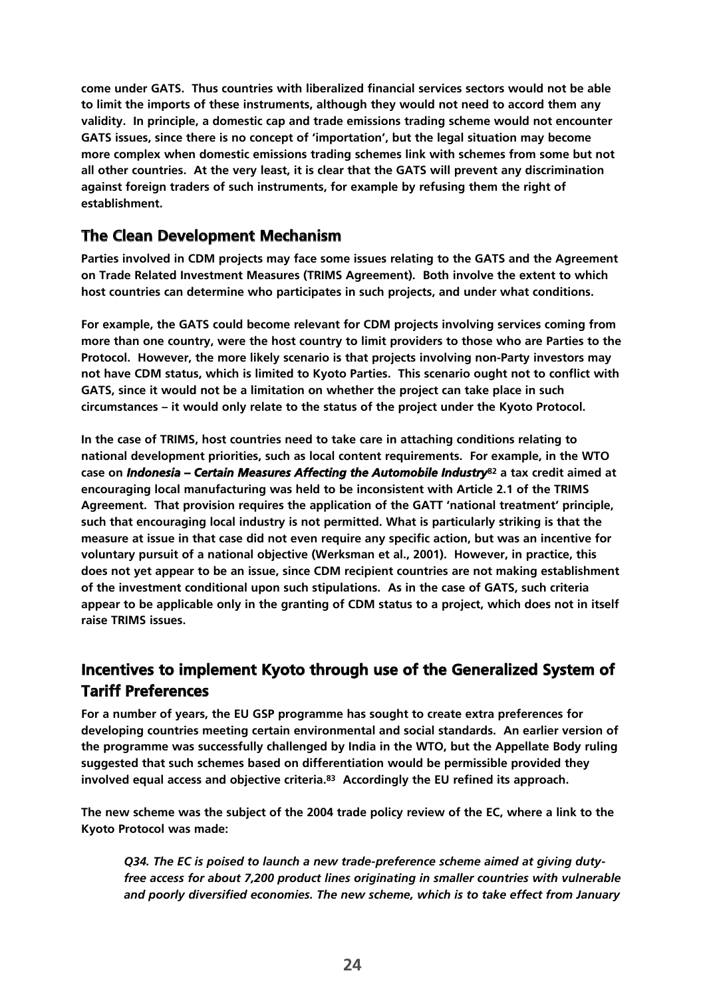**come under GATS. Thus countries with liberalized financial services sectors would not be able to limit the imports of these instruments, although they would not need to accord them any validity. In principle, a domestic cap and trade emissions trading scheme would not encounter GATS issues, since there is no concept of 'importation', but the legal situation may become more complex when domestic emissions trading schemes link with schemes from some but not all other countries. At the very least, it is clear that the GATS will prevent any discrimination against foreign traders of such instruments, for example by refusing them the right of establishment.** 

### **The Clean Development Mechanism**

**Parties involved in CDM projects may face some issues relating to the GATS and the Agreement on Trade Related Investment Measures (TRIMS Agreement). Both involve the extent to which host countries can determine who participates in such projects, and under what conditions.**

**For example, the GATS could become relevant for CDM projects involving services coming from more than one country, were the host country to limit providers to those who are Parties to the Protocol. However, the more likely scenario is that projects involving non-Party investors may not have CDM status, which is limited to Kyoto Parties. This scenario ought not to conflict with GATS, since it would not be a limitation on whether the project can take place in such circumstances – it would only relate to the status of the project under the Kyoto Protocol.** 

**In the case of TRIMS, host countries need to take care in attaching conditions relating to national development priorities, such as local content requirements. For example, in the WTO case on** *Indonesia – Certain Measures Affecting the Automobile Industry***<sup>82</sup> a tax credit aimed at encouraging local manufacturing was held to be inconsistent with Article 2.1 of the TRIMS Agreement. That provision requires the application of the GATT 'national treatment' principle, such that encouraging local industry is not permitted. What is particularly striking is that the measure at issue in that case did not even require any specific action, but was an incentive for voluntary pursuit of a national objective (Werksman et al., 2001). However, in practice, this does not yet appear to be an issue, since CDM recipient countries are not making establishment of the investment conditional upon such stipulations. As in the case of GATS, such criteria appear to be applicable only in the granting of CDM status to a project, which does not in itself raise TRIMS issues.** 

## **Incentives to implement Kyoto through use of the Generalized System of Tariff Preferences**

**For a number of years, the EU GSP programme has sought to create extra preferences for developing countries meeting certain environmental and social standards. An earlier version of the programme was successfully challenged by India in the WTO, but the Appellate Body ruling suggested that such schemes based on differentiation would be permissible provided they involved equal access and objective criteria.83 Accordingly the EU refined its approach.**

**The new scheme was the subject of the 2004 trade policy review of the EC, where a link to the Kyoto Protocol was made:**

*Q34. The EC is poised to launch a new trade-preference scheme aimed at giving dutyfree access for about 7,200 product lines originating in smaller countries with vulnerable and poorly diversified economies. The new scheme, which is to take effect from January*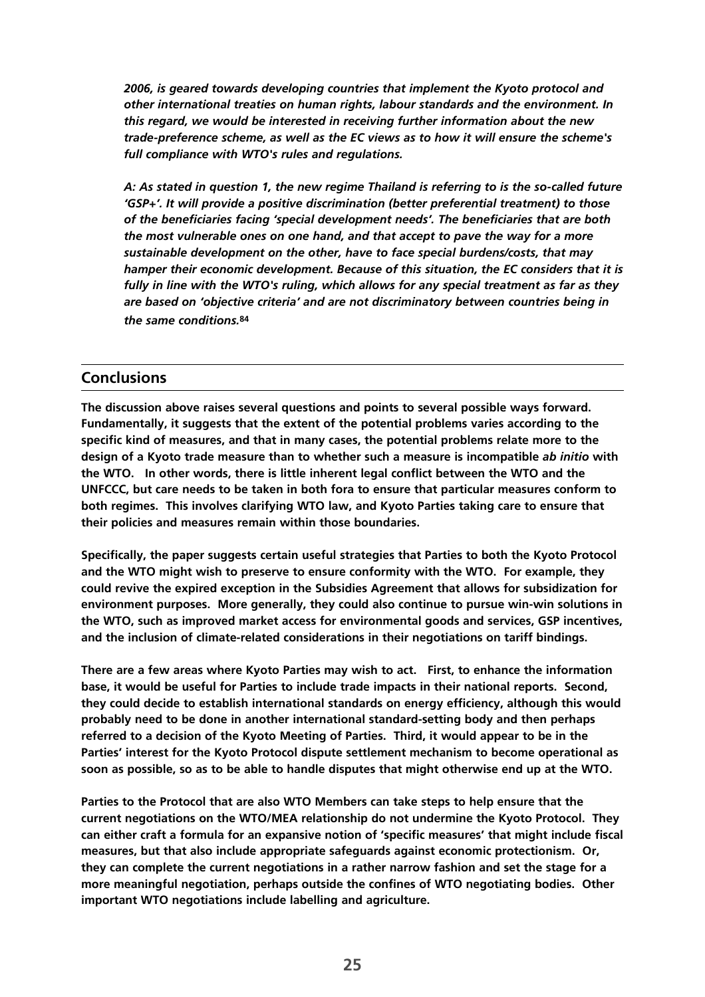*2006, is geared towards developing countries that implement the Kyoto protocol and other international treaties on human rights, labour standards and the environment. In this regard, we would be interested in receiving further information about the new trade-preference scheme, as well as the EC views as to how it will ensure the scheme's full compliance with WTO's rules and regulations.*

*A: As stated in question 1, the new regime Thailand is referring to is the so-called future 'GSP+'. It will provide a positive discrimination (better preferential treatment) to those of the beneficiaries facing 'special development needs'. The beneficiaries that are both the most vulnerable ones on one hand, and that accept to pave the way for a more sustainable development on the other, have to face special burdens/costs, that may hamper their economic development. Because of this situation, the EC considers that it is fully in line with the WTO's ruling, which allows for any special treatment as far as they are based on 'objective criteria' and are not discriminatory between countries being in the same conditions.***<sup>84</sup>**

#### **Conclusions**

**The discussion above raises several questions and points to several possible ways forward. Fundamentally, it suggests that the extent of the potential problems varies according to the specific kind of measures, and that in many cases, the potential problems relate more to the design of a Kyoto trade measure than to whether such a measure is incompatible** *ab initio* **with the WTO. In other words, there is little inherent legal conflict between the WTO and the UNFCCC, but care needs to be taken in both fora to ensure that particular measures conform to both regimes. This involves clarifying WTO law, and Kyoto Parties taking care to ensure that their policies and measures remain within those boundaries.** 

**Specifically, the paper suggests certain useful strategies that Parties to both the Kyoto Protocol and the WTO might wish to preserve to ensure conformity with the WTO. For example, they could revive the expired exception in the Subsidies Agreement that allows for subsidization for environment purposes. More generally, they could also continue to pursue win-win solutions in the WTO, such as improved market access for environmental goods and services, GSP incentives, and the inclusion of climate-related considerations in their negotiations on tariff bindings.**

**There are a few areas where Kyoto Parties may wish to act. First, to enhance the information base, it would be useful for Parties to include trade impacts in their national reports. Second, they could decide to establish international standards on energy efficiency, although this would probably need to be done in another international standard-setting body and then perhaps referred to a decision of the Kyoto Meeting of Parties. Third, it would appear to be in the Parties' interest for the Kyoto Protocol dispute settlement mechanism to become operational as soon as possible, so as to be able to handle disputes that might otherwise end up at the WTO.**

**Parties to the Protocol that are also WTO Members can take steps to help ensure that the current negotiations on the WTO/MEA relationship do not undermine the Kyoto Protocol. They can either craft a formula for an expansive notion of 'specific measures' that might include fiscal measures, but that also include appropriate safeguards against economic protectionism. Or, they can complete the current negotiations in a rather narrow fashion and set the stage for a more meaningful negotiation, perhaps outside the confines of WTO negotiating bodies. Other important WTO negotiations include labelling and agriculture.**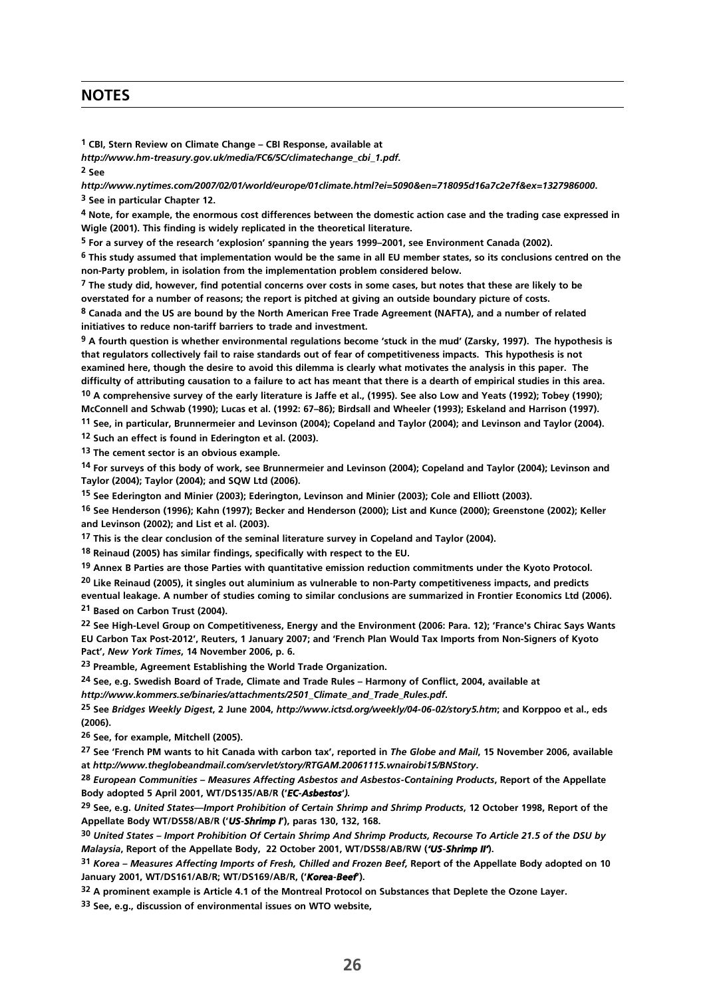#### **NOTES**

**1 CBI, Stern Review on Climate Change – CBI Response, available at** 

*http://www.hm-treasury.gov.uk/media/FC6/5C/climatechange\_cbi\_1.pdf.* 

**2 See**

*http://www.nytimes.com/2007/02/01/world/europe/01climate.html?ei=5090&en=718095d16a7c2e7f&ex=1327986000***. 3 See in particular Chapter 12.**

**4 Note, for example, the enormous cost differences between the domestic action case and the trading case expressed in Wigle (2001). This finding is widely replicated in the theoretical literature.**

**5 For a survey of the research 'explosion' spanning the years 1999–2001, see Environment Canada (2002).**

**6 This study assumed that implementation would be the same in all EU member states, so its conclusions centred on the non-Party problem, in isolation from the implementation problem considered below.**

**7 The study did, however, find potential concerns over costs in some cases, but notes that these are likely to be overstated for a number of reasons; the report is pitched at giving an outside boundary picture of costs.** 

**8 Canada and the US are bound by the North American Free Trade Agreement (NAFTA), and a number of related initiatives to reduce non-tariff barriers to trade and investment.**

**9 A fourth question is whether environmental regulations become 'stuck in the mud' (Zarsky, 1997). The hypothesis is that regulators collectively fail to raise standards out of fear of competitiveness impacts. This hypothesis is not examined here, though the desire to avoid this dilemma is clearly what motivates the analysis in this paper. The difficulty of attributing causation to a failure to act has meant that there is a dearth of empirical studies in this area. 10 A comprehensive survey of the early literature is Jaffe et al., (1995). See also Low and Yeats (1992); Tobey (1990); McConnell and Schwab (1990); Lucas et al. (1992: 67–86); Birdsall and Wheeler (1993); Eskeland and Harrison (1997).**

**11 See, in particular, Brunnermeier and Levinson (2004); Copeland and Taylor (2004); and Levinson and Taylor (2004).**

**12 Such an effect is found in Ederington et al. (2003).**

**13 The cement sector is an obvious example.**

**14 For surveys of this body of work, see Brunnermeier and Levinson (2004); Copeland and Taylor (2004); Levinson and Taylor (2004); Taylor (2004); and SQW Ltd (2006).**

**15 See Ederington and Minier (2003); Ederington, Levinson and Minier (2003); Cole and Elliott (2003).**

**16 See Henderson (1996); Kahn (1997); Becker and Henderson (2000); List and Kunce (2000); Greenstone (2002); Keller and Levinson (2002); and List et al. (2003).**

**17 This is the clear conclusion of the seminal literature survey in Copeland and Taylor (2004).**

**18 Reinaud (2005) has similar findings, specifically with respect to the EU.**

**19 Annex B Parties are those Parties with quantitative emission reduction commitments under the Kyoto Protocol.**

**20 Like Reinaud (2005), it singles out aluminium as vulnerable to non-Party competitiveness impacts, and predicts**

**eventual leakage. A number of studies coming to similar conclusions are summarized in Frontier Economics Ltd (2006). 21 Based on Carbon Trust (2004).**

**22 See High-Level Group on Competitiveness, Energy and the Environment (2006: Para. 12); 'France's Chirac Says Wants EU Carbon Tax Post-2012', Reuters, 1 January 2007; and 'French Plan Would Tax Imports from Non-Signers of Kyoto Pact',** *New York Times***, 14 November 2006, p. 6.**

**23 Preamble, Agreement Establishing the World Trade Organization.** 

**24 See, e.g. Swedish Board of Trade, Climate and Trade Rules – Harmony of Conflict, 2004, available at**

*http://www.kommers.se/binaries/attachments/2501\_Climate\_and\_Trade\_Rules.pdf***.** 

**25 See** *Bridges Weekly Digest***, 2 June 2004,** *http://www.ictsd.org/weekly/04-06-02/story5.htm***; and Korppoo et al., eds (2006).** 

**26 See, for example, Mitchell (2005).** 

**27 See 'French PM wants to hit Canada with carbon tax', reported in** *The Globe and Mail***, 15 November 2006, available at** *http://www.theglobeandmail.com/servlet/story/RTGAM.20061115.wnairobi15/BNStory***.** 

**28** *European Communities – Measures Affecting Asbestos and Asbestos-Containing Products***, Report of the Appellate Body adopted 5 April 2001, WT/DS135/AB/R ('***EC-Asbestos***'***).*

**29 See, e.g.** *United States—Import Prohibition of Certain Shrimp and Shrimp Products***, 12 October 1998, Report of the Appellate Body WT/DS58/AB/R ('***US-Shrimp I***'), paras 130, 132, 168.** 

**30** *United States – Import Prohibition Of Certain Shrimp And Shrimp Products, Recourse To Article 21.5 of the DSU by Malaysia***, Report of the Appellate Body, 22 October 2001, WT/DS58/AB/RW (***'US-Shrimp II'***).**

**31** *Korea – Measures Affecting Imports of Fresh, Chilled and Frozen Beef,* **Report of the Appellate Body adopted on 10 January 2001, WT/DS161/AB/R; WT/DS169/AB/R, ('***Korea-Beef***').**

**32 A prominent example is Article 4.1 of the Montreal Protocol on Substances that Deplete the Ozone Layer.**

**33 See, e.g., discussion of environmental issues on WTO website,**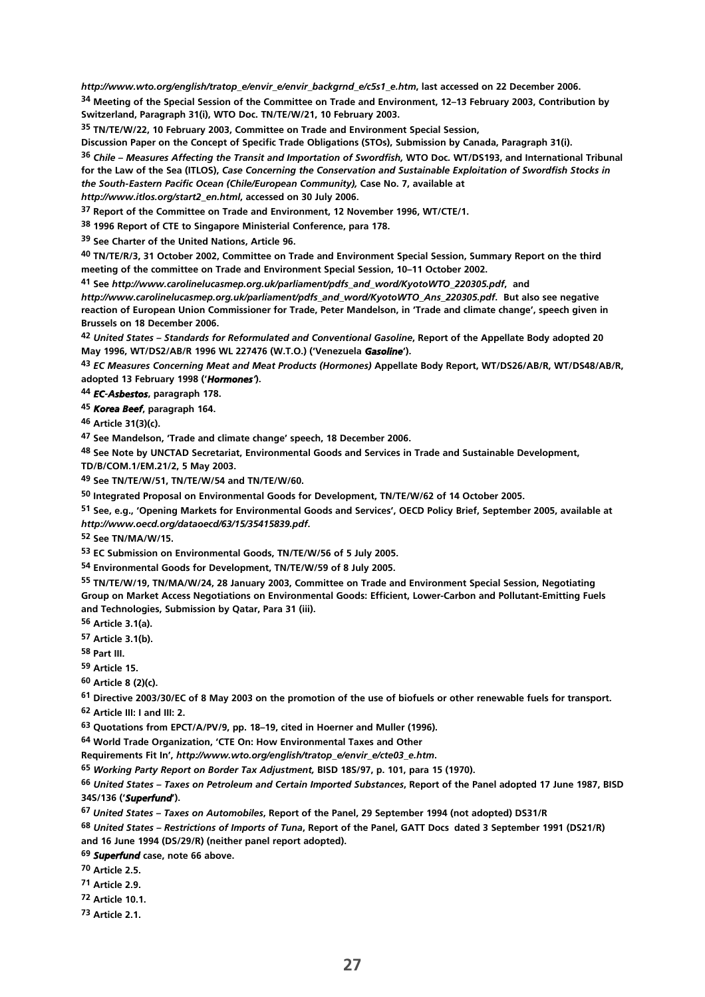*http://www.wto.org/english/tratop\_e/envir\_e/envir\_backgrnd\_e/c5s1\_e.htm***, last accessed on 22 December 2006. Meeting of the Special Session of the Committee on Trade and Environment, 12–13 February 2003, Contribution by Switzerland, Paragraph 31(i), WTO Doc. TN/TE/W/21, 10 February 2003.**

**TN/TE/W/22, 10 February 2003, Committee on Trade and Environment Special Session,**

**Discussion Paper on the Concept of Specific Trade Obligations (STOs), Submission by Canada, Paragraph 31(i).** *Chile – Measures Affecting the Transit and Importation of Swordfish,* **WTO Doc***.* **WT/DS193, and International Tribunal for the Law of the Sea (ITLOS),** *Case Concerning the Conservation and Sustainable Exploitation of Swordfish Stocks in the South-Eastern Pacific Ocean (Chile/European Community),* **Case No. 7, available at** *http://www.itlos.org/start2\_en.html***, accessed on 30 July 2006.**

**Report of the Committee on Trade and Environment, 12 November 1996, WT/CTE/1.**

**1996 Report of CTE to Singapore Ministerial Conference, para 178.**

**See Charter of the United Nations, Article 96.**

 **TN/TE/R/3, 31 October 2002, Committee on Trade and Environment Special Session, Summary Report on the third meeting of the committee on Trade and Environment Special Session, 10–11 October 2002.**

 **See** *http://www.carolinelucasmep.org.uk/parliament/pdfs\_and\_word/KyotoWTO\_220305.pdf***, and** *http://www.carolinelucasmep.org.uk/parliament/pdfs\_and\_word/KyotoWTO\_Ans\_220305.pdf***. But also see negative reaction of European Union Commissioner for Trade, Peter Mandelson, in 'Trade and climate change', speech given in**

 *United States – Standards for Reformulated and Conventional Gasoline***, Report of the Appellate Body adopted 20 May 1996, WT/DS2/AB/R 1996 WL 227476 (W.T.O.) ('Venezuela** *Gasoline***').**

 *EC Measures Concerning Meat and Meat Products (Hormones)* **Appellate Body Report, WT/DS26/AB/R, WT/DS48/AB/R, adopted 13 February 1998 ('***Hormones'***).** 

*EC-Asbestos***, paragraph 178.**

**Brussels on 18 December 2006.** 

*Korea Beef***, paragraph 164.**

**Article 31(3)(c).**

**See Mandelson, 'Trade and climate change' speech, 18 December 2006.** 

**See Note by UNCTAD Secretariat, Environmental Goods and Services in Trade and Sustainable Development,**

**TD/B/COM.1/EM.21/2, 5 May 2003.**

**See TN/TE/W/51, TN/TE/W/54 and TN/TE/W/60.** 

**Integrated Proposal on Environmental Goods for Development, TN/TE/W/62 of 14 October 2005.** 

 **See, e.g., 'Opening Markets for Environmental Goods and Services', OECD Policy Brief, September 2005, available at** *http://www.oecd.org/dataoecd/63/15/35415839.pdf***.** 

**See TN/MA/W/15.** 

**EC Submission on Environmental Goods, TN/TE/W/56 of 5 July 2005.**

**Environmental Goods for Development, TN/TE/W/59 of 8 July 2005.**

 **TN/TE/W/19, TN/MA/W/24, 28 January 2003, Committee on Trade and Environment Special Session, Negotiating Group on Market Access Negotiations on Environmental Goods: Efficient, Lower-Carbon and Pollutant-Emitting Fuels and Technologies, Submission by Qatar, Para 31 (iii).** 

**Article 3.1(a).**

**Article 3.1(b).** 

**Part III.** 

**Article 15.** 

**Article 8 (2)(c).**

**Directive 2003/30/EC of 8 May 2003 on the promotion of the use of biofuels or other renewable fuels for transport.**

**Article III: I and III: 2.**

**Quotations from EPCT/A/PV/9, pp. 18–19, cited in Hoerner and Muller (1996).** 

**World Trade Organization, 'CTE On: How Environmental Taxes and Other**

**Requirements Fit In',** *http://www.wto.org/english/tratop\_e/envir\_e/cte03\_e.htm***.** 

*Working Party Report on Border Tax Adjustment,* **BISD 18S/97, p. 101, para 15 (1970).**

 *United States – Taxes on Petroleum and Certain Imported Substances***, Report of the Panel adopted 17 June 1987, BISD 34S/136 ('***Superfund***').**

*United States – Taxes on Automobiles***, Report of the Panel, 29 September 1994 (not adopted) DS31/R**

 *United States – Restrictions of Imports of Tuna***, Report of the Panel, GATT Docs dated 3 September 1991 (DS21/R) and 16 June 1994 (DS/29/R) (neither panel report adopted).** 

*Superfund* **case, note 66 above.** 

**Article 2.5.**

**Article 2.9.**

**Article 10.1.**

**Article 2.1.**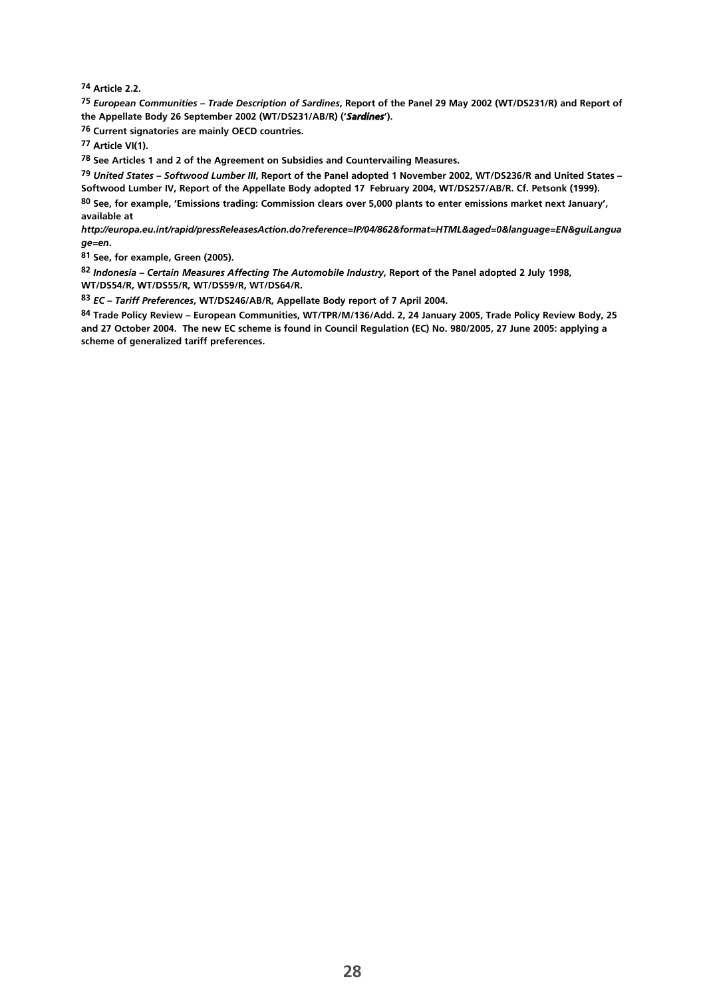**74 Article 2.2.** 

**75** *European Communities – Trade Description of Sardines***, Report of the Panel 29 May 2002 (WT/DS231/R) and Report of the Appellate Body 26 September 2002 (WT/DS231/AB/R) ('***Sardines***').**

**76 Current signatories are mainly OECD countries.** 

**77 Article VI(1).**

**78 See Articles 1 and 2 of the Agreement on Subsidies and Countervailing Measures.** 

**79** *United States – Softwood Lumber III***, Report of the Panel adopted 1 November 2002, WT/DS236/R and United States – Softwood Lumber IV, Report of the Appellate Body adopted 17 February 2004, WT/DS257/AB/R. Cf. Petsonk (1999).** 

**80 See, for example, 'Emissions trading: Commission clears over 5,000 plants to enter emissions market next January', available at**

*http://europa.eu.int/rapid/pressReleasesAction.do?reference=IP/04/862&format=HTML&aged=0&language=EN&guiLangua ge=en***.** 

**81 See, for example, Green (2005).** 

**82** *Indonesia – Certain Measures Affecting The Automobile Industry***, Report of the Panel adopted 2 July 1998, WT/DS54/R, WT/DS55/R, WT/DS59/R, WT/DS64/R.**

**83** *EC – Tariff Preferences***, WT/DS246/AB/R, Appellate Body report of 7 April 2004.**

**84 Trade Policy Review** *–* **European Communities, WT/TPR/M/136/Add. 2, 24 January 2005, Trade Policy Review Body, 25 and 27 October 2004. The new EC scheme is found in Council Regulation (EC) No. 980/2005, 27 June 2005: applying a scheme of generalized tariff preferences.**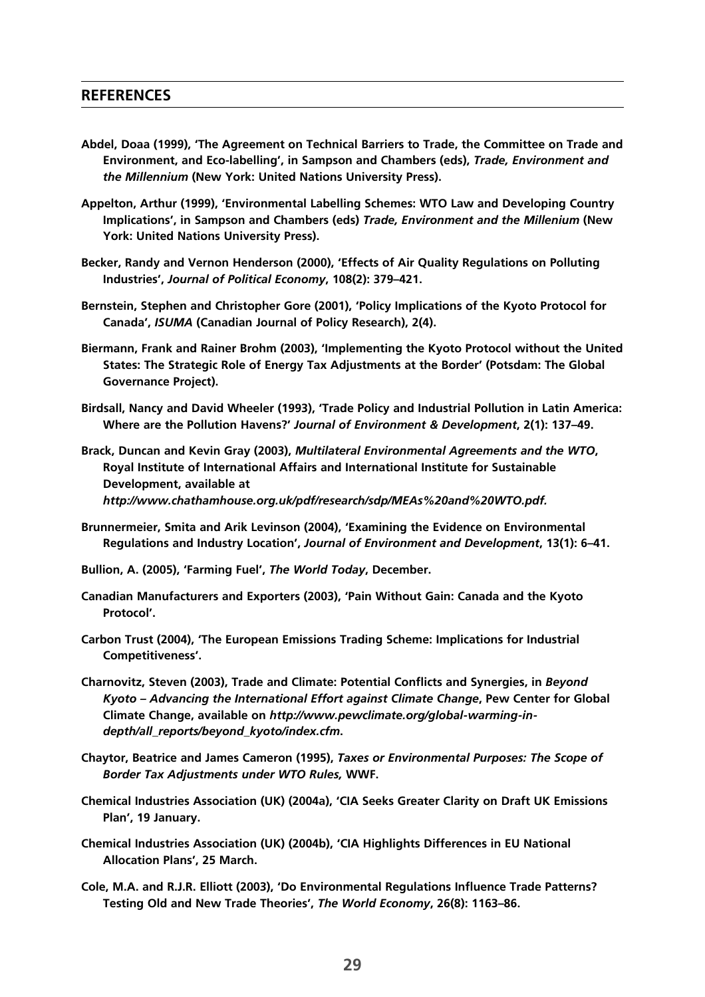- **Abdel, Doaa (1999), 'The Agreement on Technical Barriers to Trade, the Committee on Trade and Environment, and Eco-labelling', in Sampson and Chambers (eds),** *Trade, Environment and the Millennium* **(New York: United Nations University Press).**
- **Appelton, Arthur (1999), 'Environmental Labelling Schemes: WTO Law and Developing Country Implications', in Sampson and Chambers (eds)** *Trade, Environment and the Millenium* **(New York: United Nations University Press).**
- **Becker, Randy and Vernon Henderson (2000), 'Effects of Air Quality Regulations on Polluting Industries',** *Journal of Political Economy***, 108(2): 379–421.**
- **Bernstein, Stephen and Christopher Gore (2001), 'Policy Implications of the Kyoto Protocol for Canada',** *ISUMA* **(Canadian Journal of Policy Research), 2(4).**
- **Biermann, Frank and Rainer Brohm (2003), 'Implementing the Kyoto Protocol without the United States: The Strategic Role of Energy Tax Adjustments at the Border' (Potsdam: The Global Governance Project).**
- **Birdsall, Nancy and David Wheeler (1993), 'Trade Policy and Industrial Pollution in Latin America: Where are the Pollution Havens?'** *Journal of Environment & Development***, 2(1): 137–49.**
- **Brack, Duncan and Kevin Gray (2003),** *Multilateral Environmental Agreements and the WTO***, Royal Institute of International Affairs and International Institute for Sustainable Development, available at** *http://www.chathamhouse.org.uk/pdf/research/sdp/MEAs%20and%20WTO.pdf.*
- **Brunnermeier, Smita and Arik Levinson (2004), 'Examining the Evidence on Environmental Regulations and Industry Location',** *Journal of Environment and Development***, 13(1): 6–41.**
- **Bullion, A. (2005), 'Farming Fuel',** *The World Today***, December.**
- **Canadian Manufacturers and Exporters (2003), 'Pain Without Gain: Canada and the Kyoto Protocol'.**
- **Carbon Trust (2004), 'The European Emissions Trading Scheme: Implications for Industrial Competitiveness'.**
- **Charnovitz, Steven (2003), Trade and Climate: Potential Conflicts and Synergies, in** *Beyond Kyoto – Advancing the International Effort against Climate Change***, Pew Center for Global Climate Change, available on** *http://www.pewclimate.org/global-warming-indepth/all\_reports/beyond\_kyoto/index.cfm***.**
- **Chaytor, Beatrice and James Cameron (1995),** *Taxes or Environmental Purposes: The Scope of Border Tax Adjustments under WTO Rules,* **WWF.**
- **Chemical Industries Association (UK) (2004a), 'CIA Seeks Greater Clarity on Draft UK Emissions Plan', 19 January.**
- **Chemical Industries Association (UK) (2004b), 'CIA Highlights Differences in EU National Allocation Plans', 25 March.**
- **Cole, M.A. and R.J.R. Elliott (2003), 'Do Environmental Regulations Influence Trade Patterns? Testing Old and New Trade Theories',** *The World Economy***, 26(8): 1163–86.**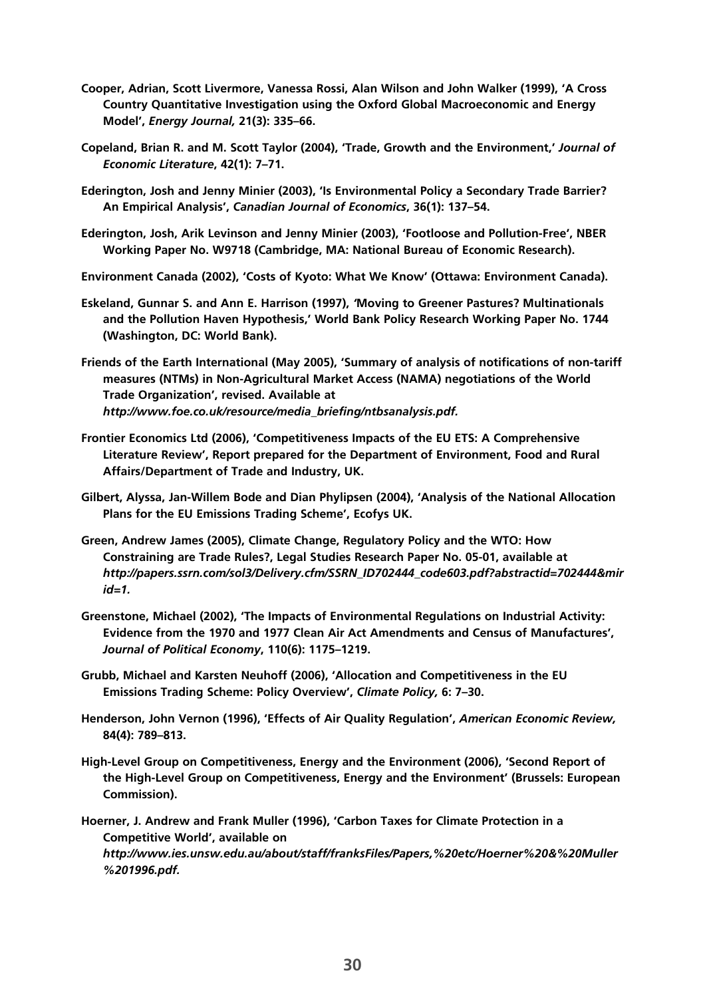- **Cooper, Adrian, Scott Livermore, Vanessa Rossi, Alan Wilson and John Walker (1999), 'A Cross Country Quantitative Investigation using the Oxford Global Macroeconomic and Energy Model',** *Energy Journal,* **21(3): 335–66.**
- **Copeland, Brian R. and M. Scott Taylor (2004), 'Trade, Growth and the Environment,'** *Journal of Economic Literature***, 42(1): 7–71.**
- **Ederington, Josh and Jenny Minier (2003), 'Is Environmental Policy a Secondary Trade Barrier? An Empirical Analysis',** *Canadian Journal of Economics***, 36(1): 137–54.**
- **Ederington, Josh, Arik Levinson and Jenny Minier (2003), 'Footloose and Pollution-Free', NBER Working Paper No. W9718 (Cambridge, MA: National Bureau of Economic Research).**
- **Environment Canada (2002), 'Costs of Kyoto: What We Know' (Ottawa: Environment Canada).**
- **Eskeland, Gunnar S. and Ann E. Harrison (1997),** *'***Moving to Greener Pastures? Multinationals and the Pollution Haven Hypothesis,' World Bank Policy Research Working Paper No. 1744 (Washington, DC: World Bank).**
- **Friends of the Earth International (May 2005), 'Summary of analysis of notifications of non-tariff measures (NTMs) in Non-Agricultural Market Access (NAMA) negotiations of the World Trade Organization', revised. Available at** *http://www.foe.co.uk/resource/media\_briefing/ntbsanalysis.pdf.*
- **Frontier Economics Ltd (2006), 'Competitiveness Impacts of the EU ETS: A Comprehensive Literature Review', Report prepared for the Department of Environment, Food and Rural Affairs/Department of Trade and Industry, UK.**
- **Gilbert, Alyssa, Jan-Willem Bode and Dian Phylipsen (2004), 'Analysis of the National Allocation Plans for the EU Emissions Trading Scheme', Ecofys UK.**
- **Green, Andrew James (2005), Climate Change, Regulatory Policy and the WTO: How Constraining are Trade Rules?, Legal Studies Research Paper No. 05-01, available at** *http://papers.ssrn.com/sol3/Delivery.cfm/SSRN\_ID702444\_code603.pdf?abstractid=702444&mir id=1.*
- **Greenstone, Michael (2002), 'The Impacts of Environmental Regulations on Industrial Activity: Evidence from the 1970 and 1977 Clean Air Act Amendments and Census of Manufactures',** *Journal of Political Economy***, 110(6): 1175–1219.**
- **Grubb, Michael and Karsten Neuhoff (2006), 'Allocation and Competitiveness in the EU Emissions Trading Scheme: Policy Overview',** *Climate Policy,* **6: 7–30.**
- **Henderson, John Vernon (1996), 'Effects of Air Quality Regulation',** *American Economic Review,* **84(4): 789–813.**
- **High-Level Group on Competitiveness, Energy and the Environment (2006), 'Second Report of the High-Level Group on Competitiveness, Energy and the Environment' (Brussels: European Commission).**
- **Hoerner, J. Andrew and Frank Muller (1996), 'Carbon Taxes for Climate Protection in a Competitive World', available on** *http://www.ies.unsw.edu.au/about/staff/franksFiles/Papers,%20etc/Hoerner%20&%20Muller %201996.pdf.*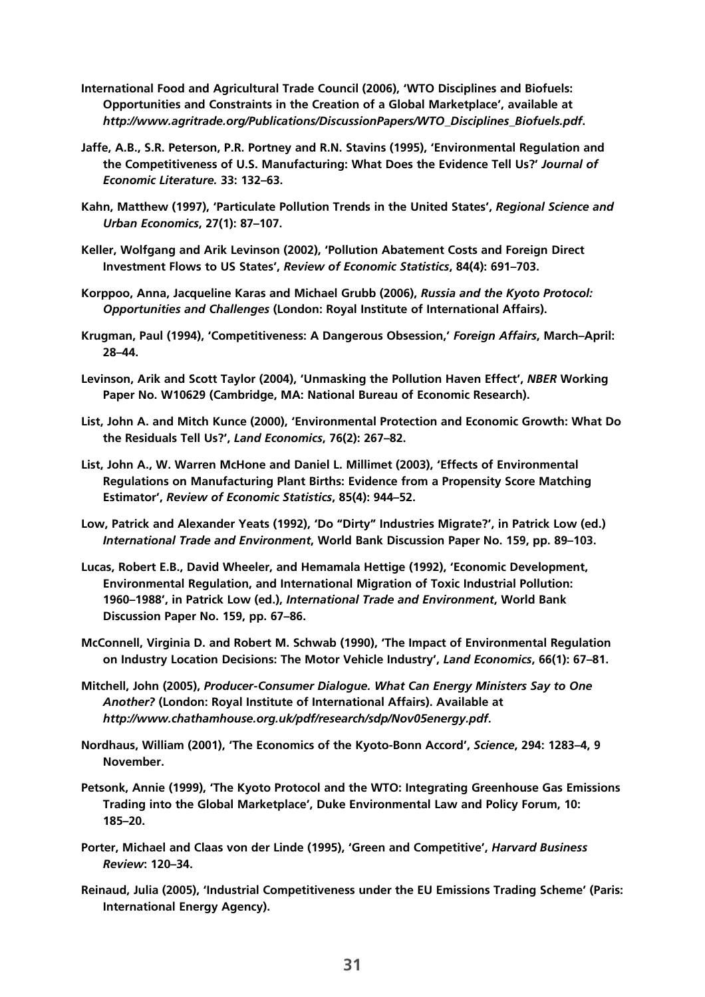- **International Food and Agricultural Trade Council (2006), 'WTO Disciplines and Biofuels: Opportunities and Constraints in the Creation of a Global Marketplace', available at** *http://www.agritrade.org/Publications/DiscussionPapers/WTO\_Disciplines\_Biofuels.pdf***.**
- **Jaffe, A.B., S.R. Peterson, P.R. Portney and R.N. Stavins (1995), 'Environmental Regulation and the Competitiveness of U.S. Manufacturing: What Does the Evidence Tell Us?'** *Journal of Economic Literature.* **33: 132–63.**
- **Kahn, Matthew (1997), 'Particulate Pollution Trends in the United States',** *Regional Science and Urban Economics***, 27(1): 87–107.**
- **Keller, Wolfgang and Arik Levinson (2002), 'Pollution Abatement Costs and Foreign Direct Investment Flows to US States',** *Review of Economic Statistics***, 84(4): 691–703.**
- **Korppoo, Anna, Jacqueline Karas and Michael Grubb (2006),** *Russia and the Kyoto Protocol: Opportunities and Challenges* **(London: Royal Institute of International Affairs).**
- **Krugman, Paul (1994), 'Competitiveness: A Dangerous Obsession,'** *Foreign Affairs***, March–April: 28–44.**
- **Levinson, Arik and Scott Taylor (2004), 'Unmasking the Pollution Haven Effect',** *NBER* **Working Paper No. W10629 (Cambridge, MA: National Bureau of Economic Research).**
- **List, John A. and Mitch Kunce (2000), 'Environmental Protection and Economic Growth: What Do the Residuals Tell Us?',** *Land Economics***, 76(2): 267–82.**
- **List, John A., W. Warren McHone and Daniel L. Millimet (2003), 'Effects of Environmental Regulations on Manufacturing Plant Births: Evidence from a Propensity Score Matching Estimator',** *Review of Economic Statistics***, 85(4): 944–52.**
- **Low, Patrick and Alexander Yeats (1992), 'Do "Dirty" Industries Migrate?', in Patrick Low (ed.)** *International Trade and Environment***, World Bank Discussion Paper No. 159, pp. 89–103.**
- **Lucas, Robert E.B., David Wheeler, and Hemamala Hettige (1992), 'Economic Development, Environmental Regulation, and International Migration of Toxic Industrial Pollution: 1960–1988', in Patrick Low (ed.),** *International Trade and Environment***, World Bank Discussion Paper No. 159, pp. 67–86.**
- **McConnell, Virginia D. and Robert M. Schwab (1990), 'The Impact of Environmental Regulation on Industry Location Decisions: The Motor Vehicle Industry',** *Land Economics***, 66(1): 67–81.**
- **Mitchell, John (2005),** *Producer-Consumer Dialogue. What Can Energy Ministers Say to One Another?* **(London: Royal Institute of International Affairs). Available at** *http://www.chathamhouse.org.uk/pdf/research/sdp/Nov05energy.pdf***.**
- **Nordhaus, William (2001), 'The Economics of the Kyoto-Bonn Accord',** *Science***, 294: 1283–4, 9 November.**
- **Petsonk, Annie (1999), 'The Kyoto Protocol and the WTO: Integrating Greenhouse Gas Emissions Trading into the Global Marketplace', Duke Environmental Law and Policy Forum, 10: 185–20.**
- **Porter, Michael and Claas von der Linde (1995), 'Green and Competitive',** *Harvard Business Review***: 120–34.**
- **Reinaud, Julia (2005), 'Industrial Competitiveness under the EU Emissions Trading Scheme' (Paris: International Energy Agency).**